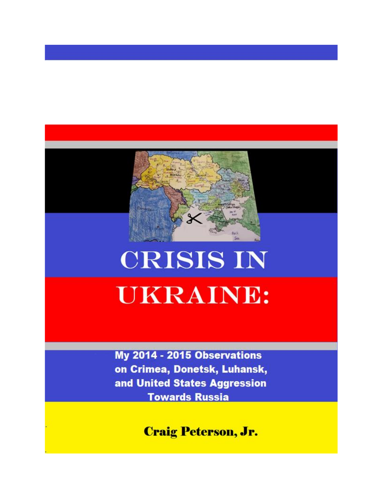

## **CRISIS IN UKRAINE:**

My 2014 - 2015 Observations on Crimea, Donetsk, Luhansk, and United States Aggression **Towards Russia** 

**Craig Peterson, Jr.**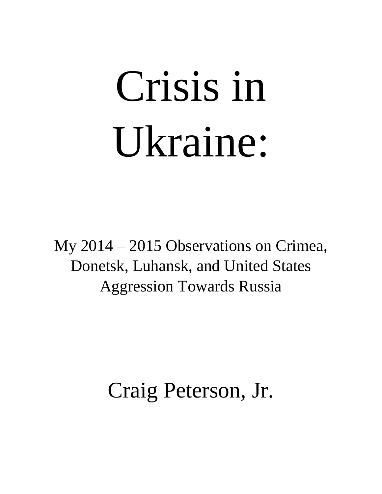# Crisis in Ukraine:

My 2014 – 2015 Observations on Crimea, Donetsk, Luhansk, and United States Aggression Towards Russia

### Craig Peterson, Jr.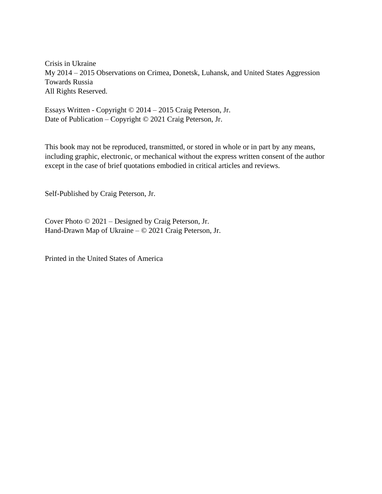Crisis in Ukraine My 2014 – 2015 Observations on Crimea, Donetsk, Luhansk, and United States Aggression Towards Russia All Rights Reserved.

Essays Written - Copyright © 2014 – 2015 Craig Peterson, Jr. Date of Publication – Copyright © 2021 Craig Peterson, Jr.

This book may not be reproduced, transmitted, or stored in whole or in part by any means, including graphic, electronic, or mechanical without the express written consent of the author except in the case of brief quotations embodied in critical articles and reviews.

Self-Published by Craig Peterson, Jr.

Cover Photo © 2021 – Designed by Craig Peterson, Jr. Hand-Drawn Map of Ukraine – © 2021 Craig Peterson, Jr.

Printed in the United States of America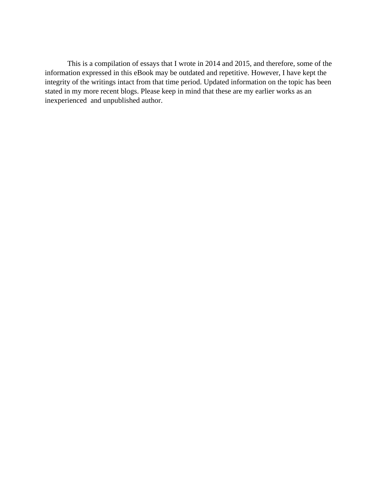This is a compilation of essays that I wrote in 2014 and 2015, and therefore, some of the information expressed in this eBook may be outdated and repetitive. However, I have kept the integrity of the writings intact from that time period. Updated information on the topic has been stated in my more recent blogs. Please keep in mind that these are my earlier works as an inexperienced and unpublished author.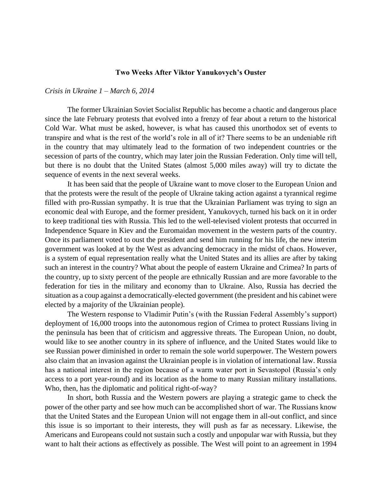#### **Two Weeks After Viktor Yanukovych's Ouster**

#### *Crisis in Ukraine 1 – March 6, 2014*

The former Ukrainian Soviet Socialist Republic has become a chaotic and dangerous place since the late February protests that evolved into a frenzy of fear about a return to the historical Cold War. What must be asked, however, is what has caused this unorthodox set of events to transpire and what is the rest of the world's role in all of it? There seems to be an undeniable rift in the country that may ultimately lead to the formation of two independent countries or the secession of parts of the country, which may later join the Russian Federation. Only time will tell, but there is no doubt that the United States (almost 5,000 miles away) will try to dictate the sequence of events in the next several weeks.

It has been said that the people of Ukraine want to move closer to the European Union and that the protests were the result of the people of Ukraine taking action against a tyrannical regime filled with pro-Russian sympathy. It is true that the Ukrainian Parliament was trying to sign an economic deal with Europe, and the former president, Yanukovych, turned his back on it in order to keep traditional ties with Russia. This led to the well-televised violent protests that occurred in Independence Square in Kiev and the Euromaidan movement in the western parts of the country. Once its parliament voted to oust the president and send him running for his life, the new interim government was looked at by the West as advancing democracy in the midst of chaos. However, is a system of equal representation really what the United States and its allies are after by taking such an interest in the country? What about the people of eastern Ukraine and Crimea? In parts of the country, up to sixty percent of the people are ethnically Russian and are more favorable to the federation for ties in the military and economy than to Ukraine. Also, Russia has decried the situation as a coup against a democratically-elected government (the president and his cabinet were elected by a majority of the Ukrainian people).

The Western response to Vladimir Putin's (with the Russian Federal Assembly's support) deployment of 16,000 troops into the autonomous region of Crimea to protect Russians living in the peninsula has been that of criticism and aggressive threats. The European Union, no doubt, would like to see another country in its sphere of influence, and the United States would like to see Russian power diminished in order to remain the sole world superpower. The Western powers also claim that an invasion against the Ukrainian people is in violation of international law. Russia has a national interest in the region because of a warm water port in Sevastopol (Russia's only access to a port year-round) and its location as the home to many Russian military installations. Who, then, has the diplomatic and political right-of-way?

In short, both Russia and the Western powers are playing a strategic game to check the power of the other party and see how much can be accomplished short of war. The Russians know that the United States and the European Union will not engage them in all-out conflict, and since this issue is so important to their interests, they will push as far as necessary. Likewise, the Americans and Europeans could not sustain such a costly and unpopular war with Russia, but they want to halt their actions as effectively as possible. The West will point to an agreement in 1994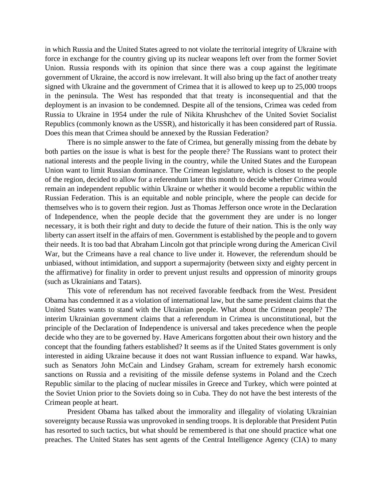in which Russia and the United States agreed to not violate the territorial integrity of Ukraine with force in exchange for the country giving up its nuclear weapons left over from the former Soviet Union. Russia responds with its opinion that since there was a coup against the legitimate government of Ukraine, the accord is now irrelevant. It will also bring up the fact of another treaty signed with Ukraine and the government of Crimea that it is allowed to keep up to 25,000 troops in the peninsula. The West has responded that that treaty is inconsequential and that the deployment is an invasion to be condemned. Despite all of the tensions, Crimea was ceded from Russia to Ukraine in 1954 under the rule of Nikita Khrushchev of the United Soviet Socialist Republics (commonly known as the USSR), and historically it has been considered part of Russia. Does this mean that Crimea should be annexed by the Russian Federation?

There is no simple answer to the fate of Crimea, but generally missing from the debate by both parties on the issue is what is best for the people there? The Russians want to protect their national interests and the people living in the country, while the United States and the European Union want to limit Russian dominance. The Crimean legislature, which is closest to the people of the region, decided to allow for a referendum later this month to decide whether Crimea would remain an independent republic within Ukraine or whether it would become a republic within the Russian Federation. This is an equitable and noble principle, where the people can decide for themselves who is to govern their region. Just as Thomas Jefferson once wrote in the Declaration of Independence, when the people decide that the government they are under is no longer necessary, it is both their right and duty to decide the future of their nation. This is the only way liberty can assert itself in the affairs of men. Government is established by the people and to govern their needs. It is too bad that Abraham Lincoln got that principle wrong during the American Civil War, but the Crimeans have a real chance to live under it. However, the referendum should be unbiased, without intimidation, and support a supermajority (between sixty and eighty percent in the affirmative) for finality in order to prevent unjust results and oppression of minority groups (such as Ukrainians and Tatars).

This vote of referendum has not received favorable feedback from the West. President Obama has condemned it as a violation of international law, but the same president claims that the United States wants to stand with the Ukrainian people. What about the Crimean people? The interim Ukrainian government claims that a referendum in Crimea is unconstitutional, but the principle of the Declaration of Independence is universal and takes precedence when the people decide who they are to be governed by. Have Americans forgotten about their own history and the concept that the founding fathers established? It seems as if the United States government is only interested in aiding Ukraine because it does not want Russian influence to expand. War hawks, such as Senators John McCain and Lindsey Graham, scream for extremely harsh economic sanctions on Russia and a revisiting of the missile defense systems in Poland and the Czech Republic similar to the placing of nuclear missiles in Greece and Turkey, which were pointed at the Soviet Union prior to the Soviets doing so in Cuba. They do not have the best interests of the Crimean people at heart.

President Obama has talked about the immorality and illegality of violating Ukrainian sovereignty because Russia was unprovoked in sending troops. It is deplorable that President Putin has resorted to such tactics, but what should be remembered is that one should practice what one preaches. The United States has sent agents of the Central Intelligence Agency (CIA) to many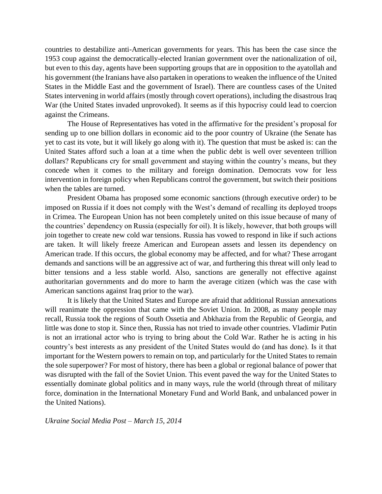countries to destabilize anti-American governments for years. This has been the case since the 1953 coup against the democratically-elected Iranian government over the nationalization of oil, but even to this day, agents have been supporting groups that are in opposition to the ayatollah and his government (the Iranians have also partaken in operations to weaken the influence of the United States in the Middle East and the government of Israel). There are countless cases of the United States intervening in world affairs (mostly through covert operations), including the disastrous Iraq War (the United States invaded unprovoked). It seems as if this hypocrisy could lead to coercion against the Crimeans.

The House of Representatives has voted in the affirmative for the president's proposal for sending up to one billion dollars in economic aid to the poor country of Ukraine (the Senate has yet to cast its vote, but it will likely go along with it). The question that must be asked is: can the United States afford such a loan at a time when the public debt is well over seventeen trillion dollars? Republicans cry for small government and staying within the country's means, but they concede when it comes to the military and foreign domination. Democrats vow for less intervention in foreign policy when Republicans control the government, but switch their positions when the tables are turned.

President Obama has proposed some economic sanctions (through executive order) to be imposed on Russia if it does not comply with the West's demand of recalling its deployed troops in Crimea. The European Union has not been completely united on this issue because of many of the countries' dependency on Russia (especially for oil). It is likely, however, that both groups will join together to create new cold war tensions. Russia has vowed to respond in like if such actions are taken. It will likely freeze American and European assets and lessen its dependency on American trade. If this occurs, the global economy may be affected, and for what? These arrogant demands and sanctions will be an aggressive act of war, and furthering this threat will only lead to bitter tensions and a less stable world. Also, sanctions are generally not effective against authoritarian governments and do more to harm the average citizen (which was the case with American sanctions against Iraq prior to the war).

It is likely that the United States and Europe are afraid that additional Russian annexations will reanimate the oppression that came with the Soviet Union. In 2008, as many people may recall, Russia took the regions of South Ossetia and Abkhazia from the Republic of Georgia, and little was done to stop it. Since then, Russia has not tried to invade other countries. Vladimir Putin is not an irrational actor who is trying to bring about the Cold War. Rather he is acting in his country's best interests as any president of the United States would do (and has done). Is it that important for the Western powers to remain on top, and particularly for the United States to remain the sole superpower? For most of history, there has been a global or regional balance of power that was disrupted with the fall of the Soviet Union. This event paved the way for the United States to essentially dominate global politics and in many ways, rule the world (through threat of military force, domination in the International Monetary Fund and World Bank, and unbalanced power in the United Nations).

*Ukraine Social Media Post – March 15, 2014*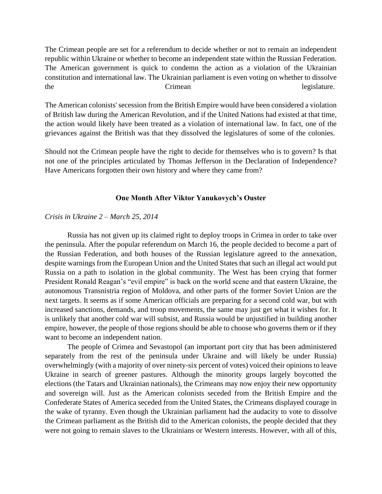The Crimean people are set for a referendum to decide whether or not to remain an independent republic within Ukraine or whether to become an independent state within the Russian Federation. The American government is quick to condemn the action as a violation of the Ukrainian constitution and international law. The Ukrainian parliament is even voting on whether to dissolve the Crimean Crimean legislature.

The American colonists' secession from the British Empire would have been considered a violation of British law during the American Revolution, and if the United Nations had existed at that time, the action would likely have been treated as a violation of international law. In fact, one of the grievances against the British was that they dissolved the legislatures of some of the colonies.

Should not the Crimean people have the right to decide for themselves who is to govern? Is that not one of the principles articulated by Thomas Jefferson in the Declaration of Independence? Have Americans forgotten their own history and where they came from?

#### **One Month After Viktor Yanukovych's Ouster**

#### *Crisis in Ukraine 2 – March 25, 2014*

Russia has not given up its claimed right to deploy troops in Crimea in order to take over the peninsula. After the popular referendum on March 16, the people decided to become a part of the Russian Federation, and both houses of the Russian legislature agreed to the annexation, despite warnings from the European Union and the United States that such an illegal act would put Russia on a path to isolation in the global community. The West has been crying that former President Ronald Reagan's "evil empire" is back on the world scene and that eastern Ukraine, the autonomous Transnistria region of Moldova, and other parts of the former Soviet Union are the next targets. It seems as if some American officials are preparing for a second cold war, but with increased sanctions, demands, and troop movements, the same may just get what it wishes for. It is unlikely that another cold war will subsist, and Russia would be unjustified in building another empire, however, the people of those regions should be able to choose who governs them or if they want to become an independent nation.

The people of Crimea and Sevastopol (an important port city that has been administered separately from the rest of the peninsula under Ukraine and will likely be under Russia) overwhelmingly (with a majority of over ninety-six percent of votes) voiced their opinions to leave Ukraine in search of greener pastures. Although the minority groups largely boycotted the elections (the Tatars and Ukrainian nationals), the Crimeans may now enjoy their new opportunity and sovereign will. Just as the American colonists seceded from the British Empire and the Confederate States of America seceded from the United States, the Crimeans displayed courage in the wake of tyranny. Even though the Ukrainian parliament had the audacity to vote to dissolve the Crimean parliament as the British did to the American colonists, the people decided that they were not going to remain slaves to the Ukrainians or Western interests. However, with all of this,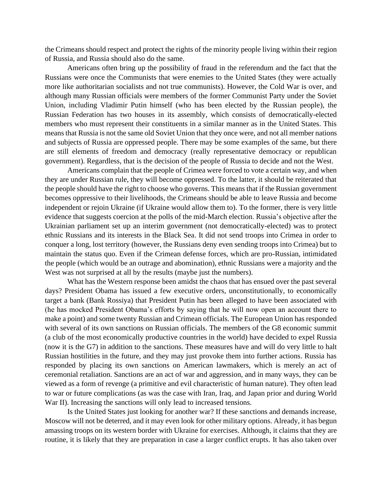the Crimeans should respect and protect the rights of the minority people living within their region of Russia, and Russia should also do the same.

Americans often bring up the possibility of fraud in the referendum and the fact that the Russians were once the Communists that were enemies to the United States (they were actually more like authoritarian socialists and not true communists). However, the Cold War is over, and although many Russian officials were members of the former Communist Party under the Soviet Union, including Vladimir Putin himself (who has been elected by the Russian people), the Russian Federation has two houses in its assembly, which consists of democratically-elected members who must represent their constituents in a similar manner as in the United States. This means that Russia is not the same old Soviet Union that they once were, and not all member nations and subjects of Russia are oppressed people. There may be some examples of the same, but there are still elements of freedom and democracy (really representative democracy or republican government). Regardless, that is the decision of the people of Russia to decide and not the West.

Americans complain that the people of Crimea were forced to vote a certain way, and when they are under Russian rule, they will become oppressed. To the latter, it should be reiterated that the people should have the right to choose who governs. This means that if the Russian government becomes oppressive to their livelihoods, the Crimeans should be able to leave Russia and become independent or rejoin Ukraine (if Ukraine would allow them to). To the former, there is very little evidence that suggests coercion at the polls of the mid-March election. Russia's objective after the Ukrainian parliament set up an interim government (not democratically-elected) was to protect ethnic Russians and its interests in the Black Sea. It did not send troops into Crimea in order to conquer a long, lost territory (however, the Russians deny even sending troops into Crimea) but to maintain the status quo. Even if the Crimean defense forces, which are pro-Russian, intimidated the people (which would be an outrage and abomination), ethnic Russians were a majority and the West was not surprised at all by the results (maybe just the numbers).

What has the Western response been amidst the chaos that has ensued over the past several days? President Obama has issued a few executive orders, unconstitutionally, to economically target a bank (Bank Rossiya) that President Putin has been alleged to have been associated with (he has mocked President Obama's efforts by saying that he will now open an account there to make a point) and some twenty Russian and Crimean officials. The European Union has responded with several of its own sanctions on Russian officials. The members of the G8 economic summit (a club of the most economically productive countries in the world) have decided to expel Russia (now it is the G7) in addition to the sanctions. These measures have and will do very little to halt Russian hostilities in the future, and they may just provoke them into further actions. Russia has responded by placing its own sanctions on American lawmakers, which is merely an act of ceremonial retaliation. Sanctions are an act of war and aggression, and in many ways, they can be viewed as a form of revenge (a primitive and evil characteristic of human nature). They often lead to war or future complications (as was the case with Iran, Iraq, and Japan prior and during World War II). Increasing the sanctions will only lead to increased tensions.

Is the United States just looking for another war? If these sanctions and demands increase, Moscow will not be deterred, and it may even look for other military options. Already, it has begun amassing troops on its western border with Ukraine for exercises. Although, it claims that they are routine, it is likely that they are preparation in case a larger conflict erupts. It has also taken over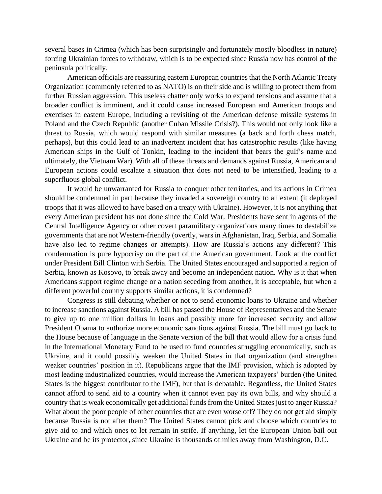several bases in Crimea (which has been surprisingly and fortunately mostly bloodless in nature) forcing Ukrainian forces to withdraw, which is to be expected since Russia now has control of the peninsula politically.

American officials are reassuring eastern European countries that the North Atlantic Treaty Organization (commonly referred to as NATO) is on their side and is willing to protect them from further Russian aggression. This useless chatter only works to expand tensions and assume that a broader conflict is imminent, and it could cause increased European and American troops and exercises in eastern Europe, including a revisiting of the American defense missile systems in Poland and the Czech Republic (another Cuban Missile Crisis?). This would not only look like a threat to Russia, which would respond with similar measures (a back and forth chess match, perhaps), but this could lead to an inadvertent incident that has catastrophic results (like having American ships in the Gulf of Tonkin, leading to the incident that bears the gulf's name and ultimately, the Vietnam War). With all of these threats and demands against Russia, American and European actions could escalate a situation that does not need to be intensified, leading to a superfluous global conflict.

It would be unwarranted for Russia to conquer other territories, and its actions in Crimea should be condemned in part because they invaded a sovereign country to an extent (it deployed troops that it was allowed to have based on a treaty with Ukraine). However, it is not anything that every American president has not done since the Cold War. Presidents have sent in agents of the Central Intelligence Agency or other covert paramilitary organizations many times to destabilize governments that are not Western-friendly (overtly, wars in Afghanistan, Iraq, Serbia, and Somalia have also led to regime changes or attempts). How are Russia's actions any different? This condemnation is pure hypocrisy on the part of the American government. Look at the conflict under President Bill Clinton with Serbia. The United States encouraged and supported a region of Serbia, known as Kosovo, to break away and become an independent nation. Why is it that when Americans support regime change or a nation seceding from another, it is acceptable, but when a different powerful country supports similar actions, it is condemned?

Congress is still debating whether or not to send economic loans to Ukraine and whether to increase sanctions against Russia. A bill has passed the House of Representatives and the Senate to give up to one million dollars in loans and possibly more for increased security and allow President Obama to authorize more economic sanctions against Russia. The bill must go back to the House because of language in the Senate version of the bill that would allow for a crisis fund in the International Monetary Fund to be used to fund countries struggling economically, such as Ukraine, and it could possibly weaken the United States in that organization (and strengthen weaker countries' position in it). Republicans argue that the IMF provision, which is adopted by most leading industrialized countries, would increase the American taxpayers' burden (the United States is the biggest contributor to the IMF), but that is debatable. Regardless, the United States cannot afford to send aid to a country when it cannot even pay its own bills, and why should a country that is weak economically get additional funds from the United States just to anger Russia? What about the poor people of other countries that are even worse off? They do not get aid simply because Russia is not after them? The United States cannot pick and choose which countries to give aid to and which ones to let remain in strife. If anything, let the European Union bail out Ukraine and be its protector, since Ukraine is thousands of miles away from Washington, D.C.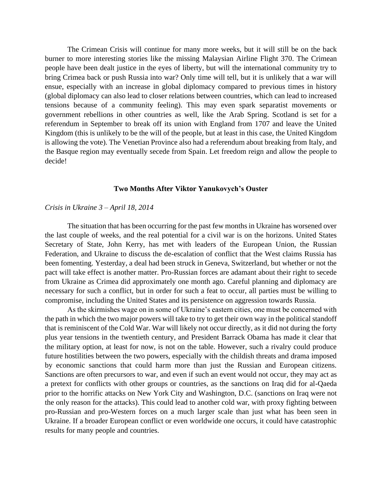The Crimean Crisis will continue for many more weeks, but it will still be on the back burner to more interesting stories like the missing Malaysian Airline Flight 370. The Crimean people have been dealt justice in the eyes of liberty, but will the international community try to bring Crimea back or push Russia into war? Only time will tell, but it is unlikely that a war will ensue, especially with an increase in global diplomacy compared to previous times in history (global diplomacy can also lead to closer relations between countries, which can lead to increased tensions because of a community feeling). This may even spark separatist movements or government rebellions in other countries as well, like the Arab Spring. Scotland is set for a referendum in September to break off its union with England from 1707 and leave the United Kingdom (this is unlikely to be the will of the people, but at least in this case, the United Kingdom is allowing the vote). The Venetian Province also had a referendum about breaking from Italy, and the Basque region may eventually secede from Spain. Let freedom reign and allow the people to decide!

#### **Two Months After Viktor Yanukovych's Ouster**

#### *Crisis in Ukraine 3 – April 18, 2014*

The situation that has been occurring for the past few months in Ukraine has worsened over the last couple of weeks, and the real potential for a civil war is on the horizons. United States Secretary of State, John Kerry, has met with leaders of the European Union, the Russian Federation, and Ukraine to discuss the de-escalation of conflict that the West claims Russia has been fomenting. Yesterday, a deal had been struck in Geneva, Switzerland, but whether or not the pact will take effect is another matter. Pro-Russian forces are adamant about their right to secede from Ukraine as Crimea did approximately one month ago. Careful planning and diplomacy are necessary for such a conflict, but in order for such a feat to occur, all parties must be willing to compromise, including the United States and its persistence on aggression towards Russia.

As the skirmishes wage on in some of Ukraine's eastern cities, one must be concerned with the path in which the two major powers will take to try to get their own way in the political standoff that is reminiscent of the Cold War. War will likely not occur directly, as it did not during the forty plus year tensions in the twentieth century, and President Barrack Obama has made it clear that the military option, at least for now, is not on the table. However, such a rivalry could produce future hostilities between the two powers, especially with the childish threats and drama imposed by economic sanctions that could harm more than just the Russian and European citizens. Sanctions are often precursors to war, and even if such an event would not occur, they may act as a pretext for conflicts with other groups or countries, as the sanctions on Iraq did for al-Qaeda prior to the horrific attacks on New York City and Washington, D.C. (sanctions on Iraq were not the only reason for the attacks). This could lead to another cold war, with proxy fighting between pro-Russian and pro-Western forces on a much larger scale than just what has been seen in Ukraine. If a broader European conflict or even worldwide one occurs, it could have catastrophic results for many people and countries.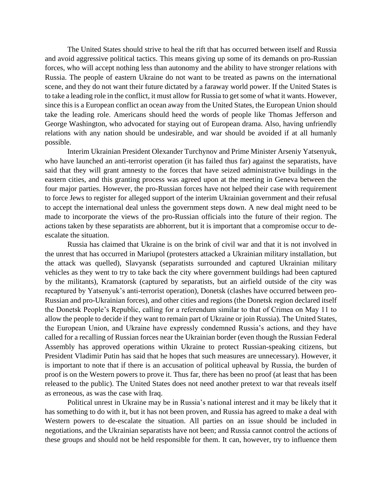The United States should strive to heal the rift that has occurred between itself and Russia and avoid aggressive political tactics. This means giving up some of its demands on pro-Russian forces, who will accept nothing less than autonomy and the ability to have stronger relations with Russia. The people of eastern Ukraine do not want to be treated as pawns on the international scene, and they do not want their future dictated by a faraway world power. If the United States is to take a leading role in the conflict, it must allow for Russia to get some of what it wants. However, since this is a European conflict an ocean away from the United States, the European Union should take the leading role. Americans should heed the words of people like Thomas Jefferson and George Washington, who advocated for staying out of European drama. Also, having unfriendly relations with any nation should be undesirable, and war should be avoided if at all humanly possible.

Interim Ukrainian President Olexander Turchynov and Prime Minister Arseniy Yatsenyuk, who have launched an anti-terrorist operation (it has failed thus far) against the separatists, have said that they will grant amnesty to the forces that have seized administrative buildings in the eastern cities, and this granting process was agreed upon at the meeting in Geneva between the four major parties. However, the pro-Russian forces have not helped their case with requirement to force Jews to register for alleged support of the interim Ukrainian government and their refusal to accept the international deal unless the government steps down. A new deal might need to be made to incorporate the views of the pro-Russian officials into the future of their region. The actions taken by these separatists are abhorrent, but it is important that a compromise occur to deescalate the situation.

Russia has claimed that Ukraine is on the brink of civil war and that it is not involved in the unrest that has occurred in Mariupol (protesters attacked a Ukrainian military installation, but the attack was quelled), Slavyansk (separatists surrounded and captured Ukrainian military vehicles as they went to try to take back the city where government buildings had been captured by the militants), Kramatorsk (captured by separatists, but an airfield outside of the city was recaptured by Yatsenyuk's anti-terrorist operation), Donetsk (clashes have occurred between pro-Russian and pro-Ukrainian forces), and other cities and regions (the Donetsk region declared itself the Donetsk People's Republic, calling for a referendum similar to that of Crimea on May 11 to allow the people to decide if they want to remain part of Ukraine or join Russia). The United States, the European Union, and Ukraine have expressly condemned Russia's actions, and they have called for a recalling of Russian forces near the Ukrainian border (even though the Russian Federal Assembly has approved operations within Ukraine to protect Russian-speaking citizens, but President Vladimir Putin has said that he hopes that such measures are unnecessary). However, it is important to note that if there is an accusation of political upheaval by Russia, the burden of proof is on the Western powers to prove it. Thus far, there has been no proof (at least that has been released to the public). The United States does not need another pretext to war that reveals itself as erroneous, as was the case with Iraq.

Political unrest in Ukraine may be in Russia's national interest and it may be likely that it has something to do with it, but it has not been proven, and Russia has agreed to make a deal with Western powers to de-escalate the situation. All parties on an issue should be included in negotiations, and the Ukrainian separatists have not been; and Russia cannot control the actions of these groups and should not be held responsible for them. It can, however, try to influence them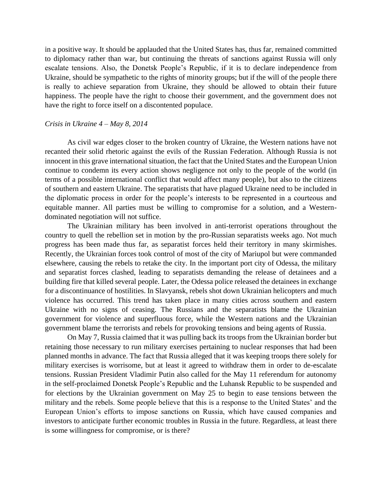in a positive way. It should be applauded that the United States has, thus far, remained committed to diplomacy rather than war, but continuing the threats of sanctions against Russia will only escalate tensions. Also, the Donetsk People's Republic, if it is to declare independence from Ukraine, should be sympathetic to the rights of minority groups; but if the will of the people there is really to achieve separation from Ukraine, they should be allowed to obtain their future happiness. The people have the right to choose their government, and the government does not have the right to force itself on a discontented populace.

#### *Crisis in Ukraine 4 – May 8, 2014*

As civil war edges closer to the broken country of Ukraine, the Western nations have not recanted their solid rhetoric against the evils of the Russian Federation. Although Russia is not innocent in this grave international situation, the fact that the United States and the European Union continue to condemn its every action shows negligence not only to the people of the world (in terms of a possible international conflict that would affect many people), but also to the citizens of southern and eastern Ukraine. The separatists that have plagued Ukraine need to be included in the diplomatic process in order for the people's interests to be represented in a courteous and equitable manner. All parties must be willing to compromise for a solution, and a Westerndominated negotiation will not suffice.

The Ukrainian military has been involved in anti-terrorist operations throughout the country to quell the rebellion set in motion by the pro-Russian separatists weeks ago. Not much progress has been made thus far, as separatist forces held their territory in many skirmishes. Recently, the Ukrainian forces took control of most of the city of Mariupol but were commanded elsewhere, causing the rebels to retake the city. In the important port city of Odessa, the military and separatist forces clashed, leading to separatists demanding the release of detainees and a building fire that killed several people. Later, the Odessa police released the detainees in exchange for a discontinuance of hostilities. In Slavyansk, rebels shot down Ukrainian helicopters and much violence has occurred. This trend has taken place in many cities across southern and eastern Ukraine with no signs of ceasing. The Russians and the separatists blame the Ukrainian government for violence and superfluous force, while the Western nations and the Ukrainian government blame the terrorists and rebels for provoking tensions and being agents of Russia.

On May 7, Russia claimed that it was pulling back its troops from the Ukrainian border but retaining those necessary to run military exercises pertaining to nuclear responses that had been planned months in advance. The fact that Russia alleged that it was keeping troops there solely for military exercises is worrisome, but at least it agreed to withdraw them in order to de-escalate tensions. Russian President Vladimir Putin also called for the May 11 referendum for autonomy in the self-proclaimed Donetsk People's Republic and the Luhansk Republic to be suspended and for elections by the Ukrainian government on May 25 to begin to ease tensions between the military and the rebels. Some people believe that this is a response to the United States' and the European Union's efforts to impose sanctions on Russia, which have caused companies and investors to anticipate further economic troubles in Russia in the future. Regardless, at least there is some willingness for compromise, or is there?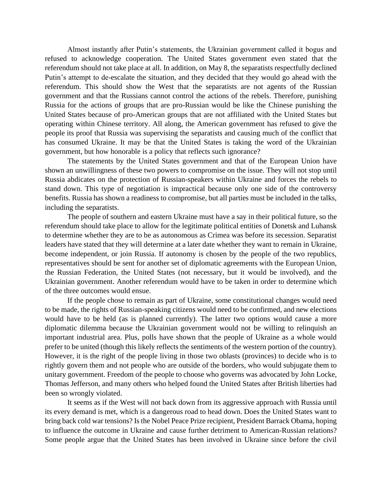Almost instantly after Putin's statements, the Ukrainian government called it bogus and refused to acknowledge cooperation. The United States government even stated that the referendum should not take place at all. In addition, on May 8, the separatists respectfully declined Putin's attempt to de-escalate the situation, and they decided that they would go ahead with the referendum. This should show the West that the separatists are not agents of the Russian government and that the Russians cannot control the actions of the rebels. Therefore, punishing Russia for the actions of groups that are pro-Russian would be like the Chinese punishing the United States because of pro-American groups that are not affiliated with the United States but operating within Chinese territory. All along, the American government has refused to give the people its proof that Russia was supervising the separatists and causing much of the conflict that has consumed Ukraine. It may be that the United States is taking the word of the Ukrainian government, but how honorable is a policy that reflects such ignorance?

The statements by the United States government and that of the European Union have shown an unwillingness of these two powers to compromise on the issue. They will not stop until Russia abdicates on the protection of Russian-speakers within Ukraine and forces the rebels to stand down. This type of negotiation is impractical because only one side of the controversy benefits. Russia has shown a readiness to compromise, but all parties must be included in the talks, including the separatists.

The people of southern and eastern Ukraine must have a say in their political future, so the referendum should take place to allow for the legitimate political entities of Donetsk and Luhansk to determine whether they are to be as autonomous as Crimea was before its secession. Separatist leaders have stated that they will determine at a later date whether they want to remain in Ukraine, become independent, or join Russia. If autonomy is chosen by the people of the two republics, representatives should be sent for another set of diplomatic agreements with the European Union, the Russian Federation, the United States (not necessary, but it would be involved), and the Ukrainian government. Another referendum would have to be taken in order to determine which of the three outcomes would ensue.

If the people chose to remain as part of Ukraine, some constitutional changes would need to be made, the rights of Russian-speaking citizens would need to be confirmed, and new elections would have to be held (as is planned currently). The latter two options would cause a more diplomatic dilemma because the Ukrainian government would not be willing to relinquish an important industrial area. Plus, polls have shown that the people of Ukraine as a whole would prefer to be united (though this likely reflects the sentiments of the western portion of the country). However, it is the right of the people living in those two oblasts (provinces) to decide who is to rightly govern them and not people who are outside of the borders, who would subjugate them to unitary government. Freedom of the people to choose who governs was advocated by John Locke, Thomas Jefferson, and many others who helped found the United States after British liberties had been so wrongly violated.

It seems as if the West will not back down from its aggressive approach with Russia until its every demand is met, which is a dangerous road to head down. Does the United States want to bring back cold war tensions? Is the Nobel Peace Prize recipient, President Barrack Obama, hoping to influence the outcome in Ukraine and cause further detriment to American-Russian relations? Some people argue that the United States has been involved in Ukraine since before the civil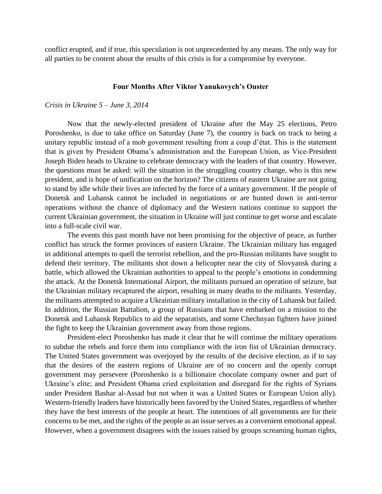conflict erupted, and if true, this speculation is not unprecedented by any means. The only way for all parties to be content about the results of this crisis is for a compromise by everyone.

#### **Four Months After Viktor Yanukovych's Ouster**

#### *Crisis in Ukraine 5 – June 3, 2014*

Now that the newly-elected president of Ukraine after the May 25 elections, Petro Poroshenko, is due to take office on Saturday (June 7), the country is back on track to being a unitary republic instead of a mob government resulting from a coup d'état. This is the statement that is given by President Obama's administration and the European Union, as Vice-President Joseph Biden heads to Ukraine to celebrate democracy with the leaders of that country. However, the questions must be asked: will the situation in the struggling country change, who is this new president, and is hope of unification on the horizon? The citizens of eastern Ukraine are not going to stand by idle while their lives are infected by the force of a unitary government. If the people of Donetsk and Luhansk cannot be included in negotiations or are hunted down in anti-terror operations without the chance of diplomacy and the Western nations continue to support the current Ukrainian government, the situation in Ukraine will just continue to get worse and escalate into a full-scale civil war.

The events this past month have not been promising for the objective of peace, as further conflict has struck the former provinces of eastern Ukraine. The Ukrainian military has engaged in additional attempts to quell the terrorist rebellion, and the pro-Russian militants have sought to defend their territory. The militants shot down a helicopter near the city of Slovyansk during a battle, which allowed the Ukrainian authorities to appeal to the people's emotions in condemning the attack. At the Donetsk International Airport, the militants pursued an operation of seizure, but the Ukrainian military recaptured the airport, resulting in many deaths to the militants. Yesterday, the militants attempted to acquire a Ukrainian military installation in the city of Luhansk but failed. In addition, the Russian Battalion, a group of Russians that have embarked on a mission to the Donetsk and Luhansk Republics to aid the separatists, and some Chechnyan fighters have joined the fight to keep the Ukrainian government away from those regions.

President-elect Poroshenko has made it clear that he will continue the military operations to subdue the rebels and force them into compliance with the iron fist of Ukrainian democracy. The United States government was overjoyed by the results of the decisive election, as if to say that the desires of the eastern regions of Ukraine are of no concern and the openly corrupt government may persevere (Poroshenko is a billionaire chocolate company owner and part of Ukraine's elite; and President Obama cried exploitation and disregard for the rights of Syrians under President Bashar al-Assad but not when it was a United States or European Union ally). Western-friendly leaders have historically been favored by the United States, regardless of whether they have the best interests of the people at heart. The intentions of all governments are for their concerns to be met, and the rights of the people as an issue serves as a convenient emotional appeal. However, when a government disagrees with the issues raised by groups screaming human rights,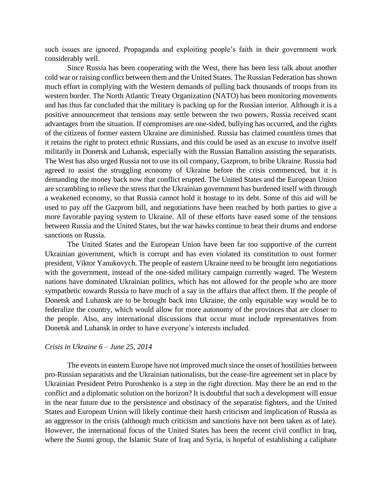such issues are ignored. Propaganda and exploiting people's faith in their government work considerably well.

Since Russia has been cooperating with the West, there has been less talk about another cold war or raising conflict between them and the United States. The Russian Federation has shown much effort in complying with the Western demands of pulling back thousands of troops from its western border. The North Atlantic Treaty Organization (NATO) has been monitoring movements and has thus far concluded that the military is packing up for the Russian interior. Although it is a positive announcement that tensions may settle between the two powers, Russia received scant advantages from the situation. If compromises are one-sided, bullying has occurred, and the rights of the citizens of former eastern Ukraine are diminished. Russia has claimed countless times that it retains the right to protect ethnic Russians, and this could be used as an excuse to involve itself militarily in Donetsk and Luhansk, especially with the Russian Battalion assisting the separatists. The West has also urged Russia not to use its oil company, Gazprom, to bribe Ukraine. Russia had agreed to assist the struggling economy of Ukraine before the crisis commenced, but it is demanding the money back now that conflict erupted. The United States and the European Union are scrambling to relieve the stress that the Ukrainian government has burdened itself with through a weakened economy, so that Russia cannot hold it hostage to its debt. Some of this aid will be used to pay off the Gazprom bill, and negotiations have been reached by both parties to give a more favorable paying system to Ukraine. All of these efforts have eased some of the tensions between Russia and the United States, but the war hawks continue to beat their drums and endorse sanctions on Russia.

The United States and the European Union have been far too supportive of the current Ukrainian government, which is corrupt and has even violated its constitution to oust former president, Viktor Yanukovych. The people of eastern Ukraine need to be brought into negotiations with the government, instead of the one-sided military campaign currently waged. The Western nations have dominated Ukrainian politics, which has not allowed for the people who are more sympathetic towards Russia to have much of a say in the affairs that affect them. If the people of Donetsk and Luhansk are to be brought back into Ukraine, the only equitable way would be to federalize the country, which would allow for more autonomy of the provinces that are closer to the people. Also, any international discussions that occur must include representatives from Donetsk and Luhansk in order to have everyone's interests included.

#### *Crisis in Ukraine 6 – June 25, 2014*

The events in eastern Europe have not improved much since the onset of hostilities between pro-Russian separatists and the Ukrainian nationalists, but the cease-fire agreement set in place by Ukrainian President Petro Poroshenko is a step in the right direction. May there be an end to the conflict and a diplomatic solution on the horizon? It is doubtful that such a development will ensue in the near future due to the persistence and obstinacy of the separatist fighters, and the United States and European Union will likely continue their harsh criticism and implication of Russia as an aggressor in the crisis (although much criticism and sanctions have not been taken as of late). However, the international focus of the United States has been the recent civil conflict in Iraq, where the Sunni group, the Islamic State of Iraq and Syria, is hopeful of establishing a caliphate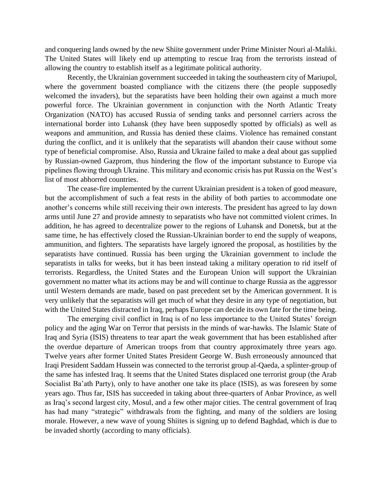and conquering lands owned by the new Shiite government under Prime Minister Nouri al-Maliki. The United States will likely end up attempting to rescue Iraq from the terrorists instead of allowing the country to establish itself as a legitimate political authority.

Recently, the Ukrainian government succeeded in taking the southeastern city of Mariupol, where the government boasted compliance with the citizens there (the people supposedly welcomed the invaders), but the separatists have been holding their own against a much more powerful force. The Ukrainian government in conjunction with the North Atlantic Treaty Organization (NATO) has accused Russia of sending tanks and personnel carriers across the international border into Luhansk (they have been supposedly spotted by officials) as well as weapons and ammunition, and Russia has denied these claims. Violence has remained constant during the conflict, and it is unlikely that the separatists will abandon their cause without some type of beneficial compromise. Also, Russia and Ukraine failed to make a deal about gas supplied by Russian-owned Gazprom, thus hindering the flow of the important substance to Europe via pipelines flowing through Ukraine. This military and economic crisis has put Russia on the West's list of most abhorred countries.

The cease-fire implemented by the current Ukrainian president is a token of good measure, but the accomplishment of such a feat rests in the ability of both parties to accommodate one another's concerns while still receiving their own interests. The president has agreed to lay down arms until June 27 and provide amnesty to separatists who have not committed violent crimes. In addition, he has agreed to decentralize power to the regions of Luhansk and Donetsk, but at the same time, he has effectively closed the Russian-Ukrainian border to end the supply of weapons, ammunition, and fighters. The separatists have largely ignored the proposal, as hostilities by the separatists have continued. Russia has been urging the Ukrainian government to include the separatists in talks for weeks, but it has been instead taking a military operation to rid itself of terrorists. Regardless, the United States and the European Union will support the Ukrainian government no matter what its actions may be and will continue to charge Russia as the aggressor until Western demands are made, based on past precedent set by the American government. It is very unlikely that the separatists will get much of what they desire in any type of negotiation, but with the United States distracted in Iraq, perhaps Europe can decide its own fate for the time being.

The emerging civil conflict in Iraq is of no less importance to the United States' foreign policy and the aging War on Terror that persists in the minds of war-hawks. The Islamic State of Iraq and Syria (ISIS) threatens to tear apart the weak government that has been established after the overdue departure of American troops from that country approximately three years ago. Twelve years after former United States President George W. Bush erroneously announced that Iraqi President Saddam Hussein was connected to the terrorist group al-Qaeda, a splinter-group of the same has infested Iraq. It seems that the United States displaced one terrorist group (the Arab Socialist Ba'ath Party), only to have another one take its place (ISIS), as was foreseen by some years ago. Thus far, ISIS has succeeded in taking about three-quarters of Anbar Province, as well as Iraq's second largest city, Mosul, and a few other major cities. The central government of Iraq has had many "strategic" withdrawals from the fighting, and many of the soldiers are losing morale. However, a new wave of young Shiites is signing up to defend Baghdad, which is due to be invaded shortly (according to many officials).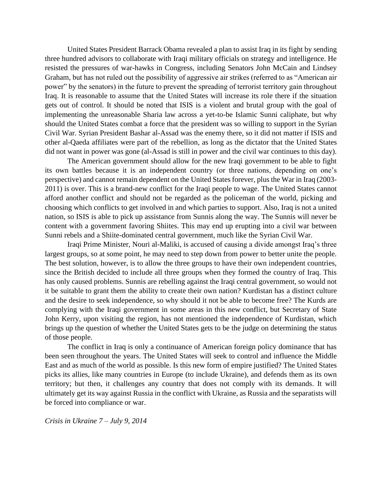United States President Barrack Obama revealed a plan to assist Iraq in its fight by sending three hundred advisors to collaborate with Iraqi military officials on strategy and intelligence. He resisted the pressures of war-hawks in Congress, including Senators John McCain and Lindsey Graham, but has not ruled out the possibility of aggressive air strikes (referred to as "American air power" by the senators) in the future to prevent the spreading of terrorist territory gain throughout Iraq. It is reasonable to assume that the United States will increase its role there if the situation gets out of control. It should be noted that ISIS is a violent and brutal group with the goal of implementing the unreasonable Sharia law across a yet-to-be Islamic Sunni caliphate, but why should the United States combat a force that the president was so willing to support in the Syrian Civil War. Syrian President Bashar al-Assad was the enemy there, so it did not matter if ISIS and other al-Qaeda affiliates were part of the rebellion, as long as the dictator that the United States did not want in power was gone (al-Assad is still in power and the civil war continues to this day).

The American government should allow for the new Iraqi government to be able to fight its own battles because it is an independent country (or three nations, depending on one's perspective) and cannot remain dependent on the United States forever, plus the War in Iraq (2003- 2011) is over. This is a brand-new conflict for the Iraqi people to wage. The United States cannot afford another conflict and should not be regarded as the policeman of the world, picking and choosing which conflicts to get involved in and which parties to support. Also, Iraq is not a united nation, so ISIS is able to pick up assistance from Sunnis along the way. The Sunnis will never be content with a government favoring Shiites. This may end up erupting into a civil war between Sunni rebels and a Shiite-dominated central government, much like the Syrian Civil War.

Iraqi Prime Minister, Nouri al-Maliki, is accused of causing a divide amongst Iraq's three largest groups, so at some point, he may need to step down from power to better unite the people. The best solution, however, is to allow the three groups to have their own independent countries, since the British decided to include all three groups when they formed the country of Iraq. This has only caused problems. Sunnis are rebelling against the Iraqi central government, so would not it be suitable to grant them the ability to create their own nation? Kurdistan has a distinct culture and the desire to seek independence, so why should it not be able to become free? The Kurds are complying with the Iraqi government in some areas in this new conflict, but Secretary of State John Kerry, upon visiting the region, has not mentioned the independence of Kurdistan, which brings up the question of whether the United States gets to be the judge on determining the status of those people.

The conflict in Iraq is only a continuance of American foreign policy dominance that has been seen throughout the years. The United States will seek to control and influence the Middle East and as much of the world as possible. Is this new form of empire justified? The United States picks its allies, like many countries in Europe (to include Ukraine), and defends them as its own territory; but then, it challenges any country that does not comply with its demands. It will ultimately get its way against Russia in the conflict with Ukraine, as Russia and the separatists will be forced into compliance or war.

*Crisis in Ukraine 7 – July 9, 2014*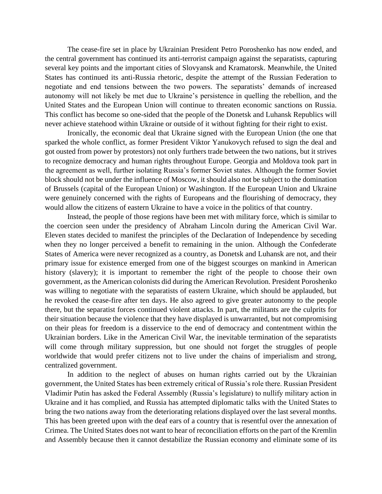The cease-fire set in place by Ukrainian President Petro Poroshenko has now ended, and the central government has continued its anti-terrorist campaign against the separatists, capturing several key points and the important cities of Slovyansk and Kramatorsk. Meanwhile, the United States has continued its anti-Russia rhetoric, despite the attempt of the Russian Federation to negotiate and end tensions between the two powers. The separatists' demands of increased autonomy will not likely be met due to Ukraine's persistence in quelling the rebellion, and the United States and the European Union will continue to threaten economic sanctions on Russia. This conflict has become so one-sided that the people of the Donetsk and Luhansk Republics will never achieve statehood within Ukraine or outside of it without fighting for their right to exist.

Ironically, the economic deal that Ukraine signed with the European Union (the one that sparked the whole conflict, as former President Viktor Yanukovych refused to sign the deal and got ousted from power by protestors) not only furthers trade between the two nations, but it strives to recognize democracy and human rights throughout Europe. Georgia and Moldova took part in the agreement as well, further isolating Russia's former Soviet states. Although the former Soviet block should not be under the influence of Moscow, it should also not be subject to the domination of Brussels (capital of the European Union) or Washington. If the European Union and Ukraine were genuinely concerned with the rights of Europeans and the flourishing of democracy, they would allow the citizens of eastern Ukraine to have a voice in the politics of that country.

Instead, the people of those regions have been met with military force, which is similar to the coercion seen under the presidency of Abraham Lincoln during the American Civil War. Eleven states decided to manifest the principles of the Declaration of Independence by seceding when they no longer perceived a benefit to remaining in the union. Although the Confederate States of America were never recognized as a country, as Donetsk and Luhansk are not, and their primary issue for existence emerged from one of the biggest scourges on mankind in American history (slavery); it is important to remember the right of the people to choose their own government, as the American colonists did during the American Revolution. President Poroshenko was willing to negotiate with the separatists of eastern Ukraine, which should be applauded, but he revoked the cease-fire after ten days. He also agreed to give greater autonomy to the people there, but the separatist forces continued violent attacks. In part, the militants are the culprits for their situation because the violence that they have displayed is unwarranted, but not compromising on their pleas for freedom is a disservice to the end of democracy and contentment within the Ukrainian borders. Like in the American Civil War, the inevitable termination of the separatists will come through military suppression, but one should not forget the struggles of people worldwide that would prefer citizens not to live under the chains of imperialism and strong, centralized government.

In addition to the neglect of abuses on human rights carried out by the Ukrainian government, the United States has been extremely critical of Russia's role there. Russian President Vladimir Putin has asked the Federal Assembly (Russia's legislature) to nullify military action in Ukraine and it has complied, and Russia has attempted diplomatic talks with the United States to bring the two nations away from the deteriorating relations displayed over the last several months. This has been greeted upon with the deaf ears of a country that is resentful over the annexation of Crimea. The United States does not want to hear of reconciliation efforts on the part of the Kremlin and Assembly because then it cannot destabilize the Russian economy and eliminate some of its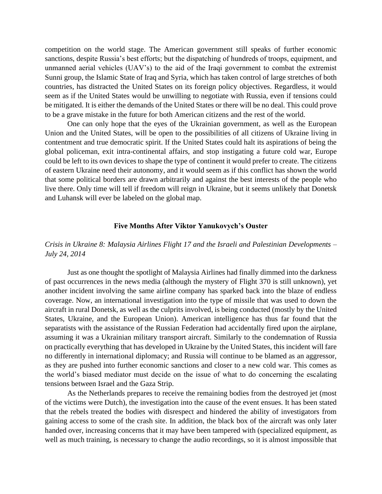competition on the world stage. The American government still speaks of further economic sanctions, despite Russia's best efforts; but the dispatching of hundreds of troops, equipment, and unmanned aerial vehicles (UAV's) to the aid of the Iraqi government to combat the extremist Sunni group, the Islamic State of Iraq and Syria, which has taken control of large stretches of both countries, has distracted the United States on its foreign policy objectives. Regardless, it would seem as if the United States would be unwilling to negotiate with Russia, even if tensions could be mitigated. It is either the demands of the United States or there will be no deal. This could prove to be a grave mistake in the future for both American citizens and the rest of the world.

One can only hope that the eyes of the Ukrainian government, as well as the European Union and the United States, will be open to the possibilities of all citizens of Ukraine living in contentment and true democratic spirit. If the United States could halt its aspirations of being the global policeman, exit intra-continental affairs, and stop instigating a future cold war, Europe could be left to its own devices to shape the type of continent it would prefer to create. The citizens of eastern Ukraine need their autonomy, and it would seem as if this conflict has shown the world that some political borders are drawn arbitrarily and against the best interests of the people who live there. Only time will tell if freedom will reign in Ukraine, but it seems unlikely that Donetsk and Luhansk will ever be labeled on the global map.

#### **Five Months After Viktor Yanukovych's Ouster**

#### *Crisis in Ukraine 8: Malaysia Airlines Flight 17 and the Israeli and Palestinian Developments – July 24, 2014*

Just as one thought the spotlight of Malaysia Airlines had finally dimmed into the darkness of past occurrences in the news media (although the mystery of Flight 370 is still unknown), yet another incident involving the same airline company has sparked back into the blaze of endless coverage. Now, an international investigation into the type of missile that was used to down the aircraft in rural Donetsk, as well as the culprits involved, is being conducted (mostly by the United States, Ukraine, and the European Union). American intelligence has thus far found that the separatists with the assistance of the Russian Federation had accidentally fired upon the airplane, assuming it was a Ukrainian military transport aircraft. Similarly to the condemnation of Russia on practically everything that has developed in Ukraine by the United States, this incident will fare no differently in international diplomacy; and Russia will continue to be blamed as an aggressor, as they are pushed into further economic sanctions and closer to a new cold war. This comes as the world's biased mediator must decide on the issue of what to do concerning the escalating tensions between Israel and the Gaza Strip.

As the Netherlands prepares to receive the remaining bodies from the destroyed jet (most of the victims were Dutch), the investigation into the cause of the event ensues. It has been stated that the rebels treated the bodies with disrespect and hindered the ability of investigators from gaining access to some of the crash site. In addition, the black box of the aircraft was only later handed over, increasing concerns that it may have been tampered with (specialized equipment, as well as much training, is necessary to change the audio recordings, so it is almost impossible that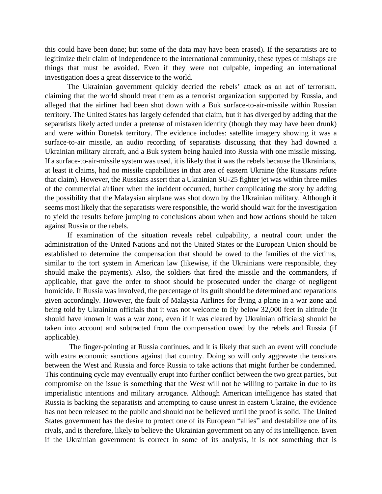this could have been done; but some of the data may have been erased). If the separatists are to legitimize their claim of independence to the international community, these types of mishaps are things that must be avoided. Even if they were not culpable, impeding an international investigation does a great disservice to the world.

The Ukrainian government quickly decried the rebels' attack as an act of terrorism, claiming that the world should treat them as a terrorist organization supported by Russia, and alleged that the airliner had been shot down with a Buk surface-to-air-missile within Russian territory. The United States has largely defended that claim, but it has diverged by adding that the separatists likely acted under a pretense of mistaken identity (though they may have been drunk) and were within Donetsk territory. The evidence includes: satellite imagery showing it was a surface-to-air missile, an audio recording of separatists discussing that they had downed a Ukrainian military aircraft, and a Buk system being hauled into Russia with one missile missing. If a surface-to-air-missile system was used, it is likely that it was the rebels because the Ukrainians, at least it claims, had no missile capabilities in that area of eastern Ukraine (the Russians refute that claim). However, the Russians assert that a Ukrainian SU-25 fighter jet was within three miles of the commercial airliner when the incident occurred, further complicating the story by adding the possibility that the Malaysian airplane was shot down by the Ukrainian military. Although it seems most likely that the separatists were responsible, the world should wait for the investigation to yield the results before jumping to conclusions about when and how actions should be taken against Russia or the rebels.

If examination of the situation reveals rebel culpability, a neutral court under the administration of the United Nations and not the United States or the European Union should be established to determine the compensation that should be owed to the families of the victims, similar to the tort system in American law (likewise, if the Ukrainians were responsible, they should make the payments). Also, the soldiers that fired the missile and the commanders, if applicable, that gave the order to shoot should be prosecuted under the charge of negligent homicide. If Russia was involved, the percentage of its guilt should be determined and reparations given accordingly. However, the fault of Malaysia Airlines for flying a plane in a war zone and being told by Ukrainian officials that it was not welcome to fly below 32,000 feet in altitude (it should have known it was a war zone, even if it was cleared by Ukrainian officials) should be taken into account and subtracted from the compensation owed by the rebels and Russia (if applicable).

The finger-pointing at Russia continues, and it is likely that such an event will conclude with extra economic sanctions against that country. Doing so will only aggravate the tensions between the West and Russia and force Russia to take actions that might further be condemned. This continuing cycle may eventually erupt into further conflict between the two great parties, but compromise on the issue is something that the West will not be willing to partake in due to its imperialistic intentions and military arrogance. Although American intelligence has stated that Russia is backing the separatists and attempting to cause unrest in eastern Ukraine, the evidence has not been released to the public and should not be believed until the proof is solid. The United States government has the desire to protect one of its European "allies" and destabilize one of its rivals, and is therefore, likely to believe the Ukrainian government on any of its intelligence. Even if the Ukrainian government is correct in some of its analysis, it is not something that is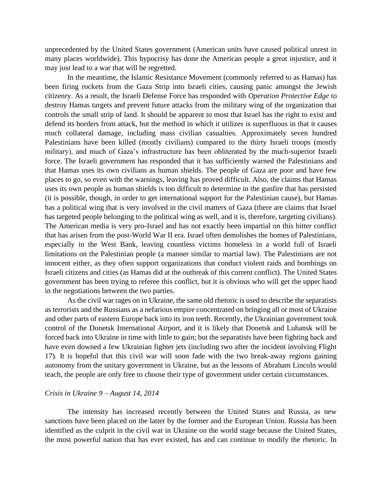unprecedented by the United States government (American units have caused political unrest in many places worldwide). This hypocrisy has done the American people a great injustice, and it may just lead to a war that will be regretted.

In the meantime, the Islamic Resistance Movement (commonly referred to as Hamas) has been firing rockets from the Gaza Strip into Israeli cities, causing panic amongst the Jewish citizenry. As a result, the Israeli Defense Force has responded with *Operation Protective Edge* to destroy Hamas targets and prevent future attacks from the military wing of the organization that controls the small strip of land. It should be apparent to most that Israel has the right to exist and defend its borders from attack, but the method in which it utilizes is superfluous in that it causes much collateral damage, including mass civilian casualties. Approximately seven hundred Palestinians have been killed (mostly civilians) compared to the thirty Israeli troops (mostly military), and much of Gaza's infrastructure has been obliterated by the much-superior Israeli force. The Israeli government has responded that it has sufficiently warned the Palestinians and that Hamas uses its own civilians as human shields. The people of Gaza are poor and have few places to go, so even with the warnings, leaving has proved difficult. Also, the claims that Hamas uses its own people as human shields is too difficult to determine in the gunfire that has persisted (it is possible, though, in order to get international support for the Palestinian cause), but Hamas has a political wing that is very involved in the civil matters of Gaza (there are claims that Israel has targeted people belonging to the political wing as well, and it is, therefore, targeting civilians). The American media is very pro-Israel and has not exactly been impartial on this bitter conflict that has arisen from the post-World War II era. Israel often demolishes the homes of Palestinians, especially in the West Bank, leaving countless victims homeless in a world full of Israeli limitations on the Palestinian people (a manner similar to martial law). The Palestinians are not innocent either, as they often support organizations that conduct violent raids and bombings on Israeli citizens and cities (as Hamas did at the outbreak of this current conflict). The United States government has been trying to referee this conflict, but it is obvious who will get the upper hand in the negotiations between the two parties.

As the civil war rages on in Ukraine, the same old rhetoric is used to describe the separatists as terrorists and the Russians as a nefarious empire concentrated on bringing all or most of Ukraine and other parts of eastern Europe back into its iron teeth. Recently, the Ukrainian government took control of the Donetsk International Airport, and it is likely that Donetsk and Luhansk will be forced back into Ukraine in time with little to gain; but the separatists have been fighting back and have even downed a few Ukrainian fighter jets (including two after the incident involving Flight 17). It is hopeful that this civil war will soon fade with the two break-away regions gaining autonomy from the unitary government in Ukraine, but as the lessons of Abraham Lincoln would teach, the people are only free to choose their type of government under certain circumstances.

#### *Crisis in Ukraine 9 – August 14, 2014*

The intensity has increased recently between the United States and Russia, as new sanctions have been placed on the latter by the former and the European Union. Russia has been identified as the culprit in the civil war in Ukraine on the world stage because the United States, the most powerful nation that has ever existed, has and can continue to modify the rhetoric. In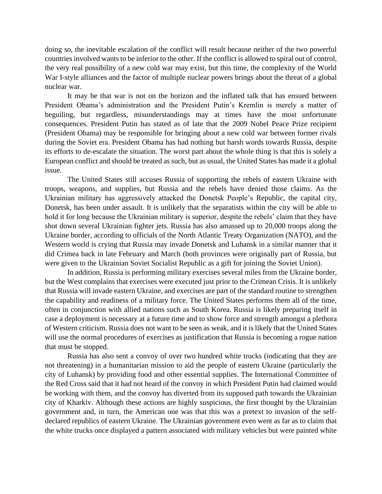doing so, the inevitable escalation of the conflict will result because neither of the two powerful countries involved wants to be inferior to the other. If the conflict is allowed to spiral out of control, the very real possibility of a new cold war may exist, but this time, the complexity of the World War I-style alliances and the factor of multiple nuclear powers brings about the threat of a global nuclear war.

It may be that war is not on the horizon and the inflated talk that has ensued between President Obama's administration and the President Putin's Kremlin is merely a matter of beguiling, but regardless, misunderstandings may at times have the most unfortunate consequences. President Putin has stated as of late that the 2009 Nobel Peace Prize recipient (President Obama) may be responsible for bringing about a new cold war between former rivals during the Soviet era. President Obama has had nothing but harsh words towards Russia, despite its efforts to de-escalate the situation. The worst part about the whole thing is that this is solely a European conflict and should be treated as such, but as usual, the United States has made it a global issue.

The United States still accuses Russia of supporting the rebels of eastern Ukraine with troops, weapons, and supplies, but Russia and the rebels have denied those claims. As the Ukrainian military has aggressively attacked the Donetsk People's Republic, the capital city, Donetsk, has been under assault. It is unlikely that the separatists within the city will be able to hold it for long because the Ukrainian military is superior, despite the rebels' claim that they have shot down several Ukrainian fighter jets. Russia has also amassed up to 20,000 troops along the Ukraine border, according to officials of the North Atlantic Treaty Organization (NATO), and the Western world is crying that Russia may invade Donetsk and Luhansk in a similar manner that it did Crimea back in late February and March (both provinces were originally part of Russia, but were given to the Ukrainian Soviet Socialist Republic as a gift for joining the Soviet Union).

In addition, Russia is performing military exercises several miles from the Ukraine border, but the West complains that exercises were executed just prior to the Crimean Crisis. It is unlikely that Russia will invade eastern Ukraine, and exercises are part of the standard routine to strengthen the capability and readiness of a military force. The United States performs them all of the time, often in conjunction with allied nations such as South Korea. Russia is likely preparing itself in case a deployment is necessary at a future time and to show force and strength amongst a plethora of Western criticism. Russia does not want to be seen as weak, and it is likely that the United States will use the normal procedures of exercises as justification that Russia is becoming a rogue nation that must be stopped.

Russia has also sent a convoy of over two hundred white trucks (indicating that they are not threatening) in a humanitarian mission to aid the people of eastern Ukraine (particularly the city of Luhansk) by providing food and other essential supplies. The International Committee of the Red Cross said that it had not heard of the convoy in which President Putin had claimed would be working with them, and the convoy has diverted from its supposed path towards the Ukrainian city of Kharkiv. Although these actions are highly suspicious, the first thought by the Ukrainian government and, in turn, the American one was that this was a pretext to invasion of the selfdeclared republics of eastern Ukraine. The Ukrainian government even went as far as to claim that the white trucks once displayed a pattern associated with military vehicles but were painted white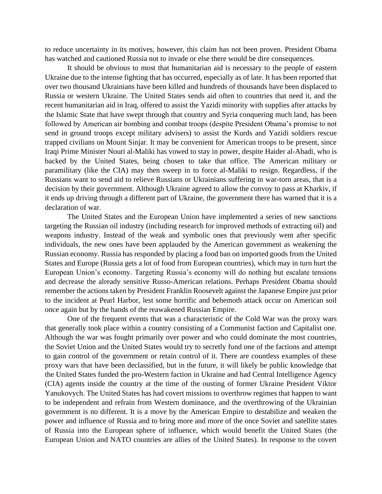to reduce uncertainty in its motives, however, this claim has not been proven. President Obama has watched and cautioned Russia not to invade or else there would be dire consequences.

It should be obvious to most that humanitarian aid is necessary to the people of eastern Ukraine due to the intense fighting that has occurred, especially as of late. It has been reported that over two thousand Ukrainians have been killed and hundreds of thousands have been displaced to Russia or western Ukraine. The United States sends aid often to countries that need it, and the recent humanitarian aid in Iraq, offered to assist the Yazidi minority with supplies after attacks by the Islamic State that have swept through that country and Syria conquering much land, has been followed by American air bombing and combat troops (despite President Obama's promise to not send in ground troops except military advisers) to assist the Kurds and Yazidi soldiers rescue trapped civilians on Mount Sinjar. It may be convenient for American troops to be present, since Iraqi Prime Minister Nouri al-Maliki has vowed to stay in power, despite Haider al-Abadi, who is backed by the United States, being chosen to take that office. The American military or paramilitary (like the CIA) may then sweep in to force al-Maliki to resign. Regardless, if the Russians want to send aid to relieve Russians or Ukrainians suffering in war-torn areas, that is a decision by their government. Although Ukraine agreed to allow the convoy to pass at Kharkiv, if it ends up driving through a different part of Ukraine, the government there has warned that it is a declaration of war.

The United States and the European Union have implemented a series of new sanctions targeting the Russian oil industry (including research for improved methods of extracting oil) and weapons industry. Instead of the weak and symbolic ones that previously went after specific individuals, the new ones have been applauded by the American government as weakening the Russian economy. Russia has responded by placing a food ban on imported goods from the United States and Europe (Russia gets a lot of food from European countries), which may in turn hurt the European Union's economy. Targeting Russia's economy will do nothing but escalate tensions and decrease the already sensitive Russo-American relations. Perhaps President Obama should remember the actions taken by President Franklin Roosevelt against the Japanese Empire just prior to the incident at Pearl Harbor, lest some horrific and behemoth attack occur on American soil once again but by the hands of the reawakened Russian Empire.

One of the frequent events that was a characteristic of the Cold War was the proxy wars that generally took place within a country consisting of a Communist faction and Capitalist one. Although the war was fought primarily over power and who could dominate the most countries, the Soviet Union and the United States would try to secretly fund one of the factions and attempt to gain control of the government or retain control of it. There are countless examples of these proxy wars that have been declassified, but in the future, it will likely be public knowledge that the United States funded the pro-Western faction in Ukraine and had Central Intelligence Agency (CIA) agents inside the country at the time of the ousting of former Ukraine President Viktor Yanukovych. The United States has had covert missions to overthrow regimes that happen to want to be independent and refrain from Western dominance, and the overthrowing of the Ukrainian government is no different. It is a move by the American Empire to destabilize and weaken the power and influence of Russia and to bring more and more of the once Soviet and satellite states of Russia into the European sphere of influence, which would benefit the United States (the European Union and NATO countries are allies of the United States). In response to the covert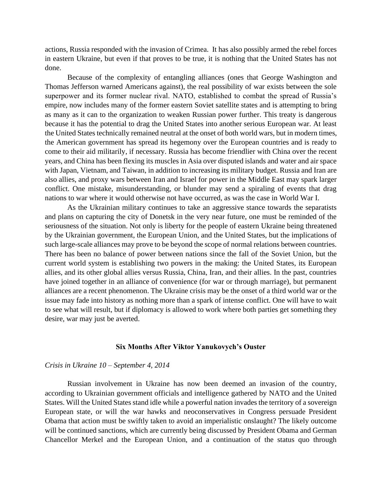actions, Russia responded with the invasion of Crimea. It has also possibly armed the rebel forces in eastern Ukraine, but even if that proves to be true, it is nothing that the United States has not done.

Because of the complexity of entangling alliances (ones that George Washington and Thomas Jefferson warned Americans against), the real possibility of war exists between the sole superpower and its former nuclear rival. NATO, established to combat the spread of Russia's empire, now includes many of the former eastern Soviet satellite states and is attempting to bring as many as it can to the organization to weaken Russian power further. This treaty is dangerous because it has the potential to drag the United States into another serious European war. At least the United States technically remained neutral at the onset of both world wars, but in modern times, the American government has spread its hegemony over the European countries and is ready to come to their aid militarily, if necessary. Russia has become friendlier with China over the recent years, and China has been flexing its muscles in Asia over disputed islands and water and air space with Japan, Vietnam, and Taiwan, in addition to increasing its military budget. Russia and Iran are also allies, and proxy wars between Iran and Israel for power in the Middle East may spark larger conflict. One mistake, misunderstanding, or blunder may send a spiraling of events that drag nations to war where it would otherwise not have occurred, as was the case in World War I.

As the Ukrainian military continues to take an aggressive stance towards the separatists and plans on capturing the city of Donetsk in the very near future, one must be reminded of the seriousness of the situation. Not only is liberty for the people of eastern Ukraine being threatened by the Ukrainian government, the European Union, and the United States, but the implications of such large-scale alliances may prove to be beyond the scope of normal relations between countries. There has been no balance of power between nations since the fall of the Soviet Union, but the current world system is establishing two powers in the making: the United States, its European allies, and its other global allies versus Russia, China, Iran, and their allies. In the past, countries have joined together in an alliance of convenience (for war or through marriage), but permanent alliances are a recent phenomenon. The Ukraine crisis may be the onset of a third world war or the issue may fade into history as nothing more than a spark of intense conflict. One will have to wait to see what will result, but if diplomacy is allowed to work where both parties get something they desire, war may just be averted.

#### **Six Months After Viktor Yanukovych's Ouster**

#### *Crisis in Ukraine 10 – September 4, 2014*

Russian involvement in Ukraine has now been deemed an invasion of the country, according to Ukrainian government officials and intelligence gathered by NATO and the United States. Will the United States stand idle while a powerful nation invades the territory of a sovereign European state, or will the war hawks and neoconservatives in Congress persuade President Obama that action must be swiftly taken to avoid an imperialistic onslaught? The likely outcome will be continued sanctions, which are currently being discussed by President Obama and German Chancellor Merkel and the European Union, and a continuation of the status quo through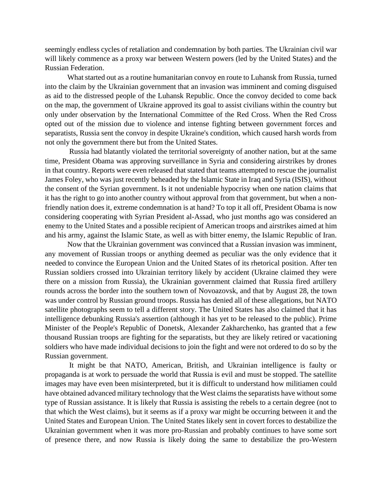seemingly endless cycles of retaliation and condemnation by both parties. The Ukrainian civil war will likely commence as a proxy war between Western powers (led by the United States) and the Russian Federation.

What started out as a routine humanitarian convoy en route to Luhansk from Russia, turned into the claim by the Ukrainian government that an invasion was imminent and coming disguised as aid to the distressed people of the Luhansk Republic. Once the convoy decided to come back on the map, the government of Ukraine approved its goal to assist civilians within the country but only under observation by the International Committee of the Red Cross. When the Red Cross opted out of the mission due to violence and intense fighting between government forces and separatists, Russia sent the convoy in despite Ukraine's condition, which caused harsh words from not only the government there but from the United States.

Russia had blatantly violated the territorial sovereignty of another nation, but at the same time, President Obama was approving surveillance in Syria and considering airstrikes by drones in that country. Reports were even released that stated that teams attempted to rescue the journalist James Foley, who was just recently beheaded by the Islamic State in Iraq and Syria (ISIS), without the consent of the Syrian government. Is it not undeniable hypocrisy when one nation claims that it has the right to go into another country without approval from that government, but when a nonfriendly nation does it, extreme condemnation is at hand? To top it all off, President Obama is now considering cooperating with Syrian President al-Assad, who just months ago was considered an enemy to the United States and a possible recipient of American troops and airstrikes aimed at him and his army, against the Islamic State, as well as with bitter enemy, the Islamic Republic of Iran.

Now that the Ukrainian government was convinced that a Russian invasion was imminent, any movement of Russian troops or anything deemed as peculiar was the only evidence that it needed to convince the European Union and the United States of its rhetorical position. After ten Russian soldiers crossed into Ukrainian territory likely by accident (Ukraine claimed they were there on a mission from Russia), the Ukrainian government claimed that Russia fired artillery rounds across the border into the southern town of Novoazovsk, and that by August 28, the town was under control by Russian ground troops. Russia has denied all of these allegations, but NATO satellite photographs seem to tell a different story. The United States has also claimed that it has intelligence debunking Russia's assertion (although it has yet to be released to the public). Prime Minister of the People's Republic of Donetsk, Alexander Zakharchenko, has granted that a few thousand Russian troops are fighting for the separatists, but they are likely retired or vacationing soldiers who have made individual decisions to join the fight and were not ordered to do so by the Russian government.

It might be that NATO, American, British, and Ukrainian intelligence is faulty or propaganda is at work to persuade the world that Russia is evil and must be stopped. The satellite images may have even been misinterpreted, but it is difficult to understand how militiamen could have obtained advanced military technology that the West claims the separatists have without some type of Russian assistance. It is likely that Russia is assisting the rebels to a certain degree (not to that which the West claims), but it seems as if a proxy war might be occurring between it and the United States and European Union. The United States likely sent in covert forces to destabilize the Ukrainian government when it was more pro-Russian and probably continues to have some sort of presence there, and now Russia is likely doing the same to destabilize the pro-Western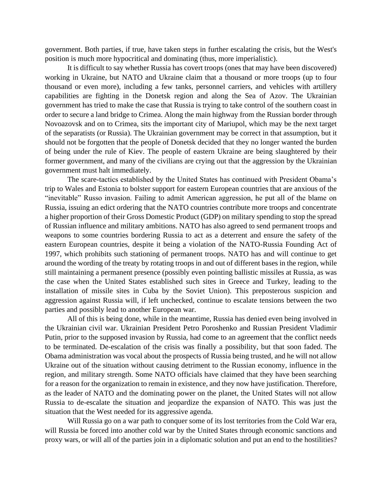government. Both parties, if true, have taken steps in further escalating the crisis, but the West's position is much more hypocritical and dominating (thus, more imperialistic).

It is difficult to say whether Russia has covert troops (ones that may have been discovered) working in Ukraine, but NATO and Ukraine claim that a thousand or more troops (up to four thousand or even more), including a few tanks, personnel carriers, and vehicles with artillery capabilities are fighting in the Donetsk region and along the Sea of Azov. The Ukrainian government has tried to make the case that Russia is trying to take control of the southern coast in order to secure a land bridge to Crimea. Along the main highway from the Russian border through Novoazovsk and on to Crimea, sits the important city of Mariupol, which may be the next target of the separatists (or Russia). The Ukrainian government may be correct in that assumption, but it should not be forgotten that the people of Donetsk decided that they no longer wanted the burden of being under the rule of Kiev. The people of eastern Ukraine are being slaughtered by their former government, and many of the civilians are crying out that the aggression by the Ukrainian government must halt immediately.

The scare-tactics established by the United States has continued with President Obama's trip to Wales and Estonia to bolster support for eastern European countries that are anxious of the "inevitable" Russo invasion. Failing to admit American aggression, he put all of the blame on Russia, issuing an edict ordering that the NATO countries contribute more troops and concentrate a higher proportion of their Gross Domestic Product (GDP) on military spending to stop the spread of Russian influence and military ambitions. NATO has also agreed to send permanent troops and weapons to some countries bordering Russia to act as a deterrent and ensure the safety of the eastern European countries, despite it being a violation of the NATO-Russia Founding Act of 1997, which prohibits such stationing of permanent troops. NATO has and will continue to get around the wording of the treaty by rotating troops in and out of different bases in the region, while still maintaining a permanent presence (possibly even pointing ballistic missiles at Russia, as was the case when the United States established such sites in Greece and Turkey, leading to the installation of missile sites in Cuba by the Soviet Union). This preposterous suspicion and aggression against Russia will, if left unchecked, continue to escalate tensions between the two parties and possibly lead to another European war.

All of this is being done, while in the meantime, Russia has denied even being involved in the Ukrainian civil war. Ukrainian President Petro Poroshenko and Russian President Vladimir Putin, prior to the supposed invasion by Russia, had come to an agreement that the conflict needs to be terminated. De-escalation of the crisis was finally a possibility, but that soon faded. The Obama administration was vocal about the prospects of Russia being trusted, and he will not allow Ukraine out of the situation without causing detriment to the Russian economy, influence in the region, and military strength. Some NATO officials have claimed that they have been searching for a reason for the organization to remain in existence, and they now have justification. Therefore, as the leader of NATO and the dominating power on the planet, the United States will not allow Russia to de-escalate the situation and jeopardize the expansion of NATO. This was just the situation that the West needed for its aggressive agenda.

Will Russia go on a war path to conquer some of its lost territories from the Cold War era, will Russia be forced into another cold war by the United States through economic sanctions and proxy wars, or will all of the parties join in a diplomatic solution and put an end to the hostilities?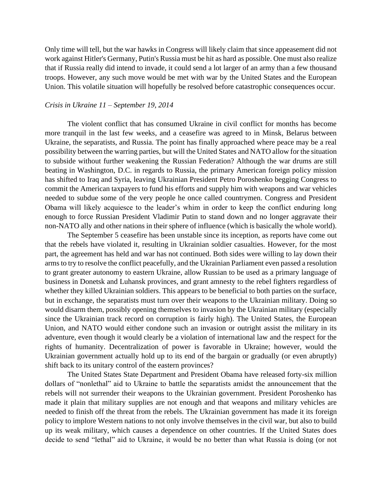Only time will tell, but the war hawks in Congress will likely claim that since appeasement did not work against Hitler's Germany, Putin's Russia must be hit as hard as possible. One must also realize that if Russia really did intend to invade, it could send a lot larger of an army than a few thousand troops. However, any such move would be met with war by the United States and the European Union. This volatile situation will hopefully be resolved before catastrophic consequences occur.

#### *Crisis in Ukraine 11 – September 19, 2014*

The violent conflict that has consumed Ukraine in civil conflict for months has become more tranquil in the last few weeks, and a ceasefire was agreed to in Minsk, Belarus between Ukraine, the separatists, and Russia. The point has finally approached where peace may be a real possibility between the warring parties, but will the United States and NATO allow for the situation to subside without further weakening the Russian Federation? Although the war drums are still beating in Washington, D.C. in regards to Russia, the primary American foreign policy mission has shifted to Iraq and Syria, leaving Ukrainian President Petro Poroshenko begging Congress to commit the American taxpayers to fund his efforts and supply him with weapons and war vehicles needed to subdue some of the very people he once called countrymen. Congress and President Obama will likely acquiesce to the leader's whim in order to keep the conflict enduring long enough to force Russian President Vladimir Putin to stand down and no longer aggravate their non-NATO ally and other nations in their sphere of influence (which is basically the whole world).

The September 5 ceasefire has been unstable since its inception, as reports have come out that the rebels have violated it, resulting in Ukrainian soldier casualties. However, for the most part, the agreement has held and war has not continued. Both sides were willing to lay down their arms to try to resolve the conflict peacefully, and the Ukrainian Parliament even passed a resolution to grant greater autonomy to eastern Ukraine, allow Russian to be used as a primary language of business in Donetsk and Luhansk provinces, and grant amnesty to the rebel fighters regardless of whether they killed Ukrainian soldiers. This appears to be beneficial to both parties on the surface, but in exchange, the separatists must turn over their weapons to the Ukrainian military. Doing so would disarm them, possibly opening themselves to invasion by the Ukrainian military (especially since the Ukrainian track record on corruption is fairly high). The United States, the European Union, and NATO would either condone such an invasion or outright assist the military in its adventure, even though it would clearly be a violation of international law and the respect for the rights of humanity. Decentralization of power is favorable in Ukraine; however, would the Ukrainian government actually hold up to its end of the bargain or gradually (or even abruptly) shift back to its unitary control of the eastern provinces?

The United States State Department and President Obama have released forty-six million dollars of "nonlethal" aid to Ukraine to battle the separatists amidst the announcement that the rebels will not surrender their weapons to the Ukrainian government. President Poroshenko has made it plain that military supplies are not enough and that weapons and military vehicles are needed to finish off the threat from the rebels. The Ukrainian government has made it its foreign policy to implore Western nations to not only involve themselves in the civil war, but also to build up its weak military, which causes a dependence on other countries. If the United States does decide to send "lethal" aid to Ukraine, it would be no better than what Russia is doing (or not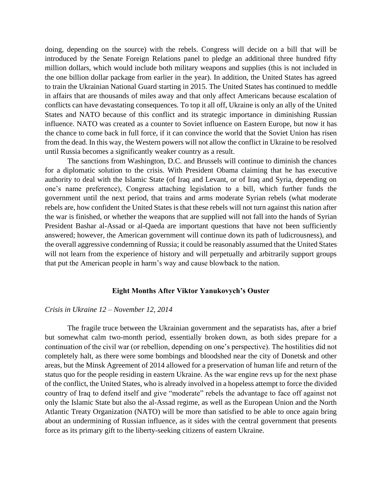doing, depending on the source) with the rebels. Congress will decide on a bill that will be introduced by the Senate Foreign Relations panel to pledge an additional three hundred fifty million dollars, which would include both military weapons and supplies (this is not included in the one billion dollar package from earlier in the year). In addition, the United States has agreed to train the Ukrainian National Guard starting in 2015. The United States has continued to meddle in affairs that are thousands of miles away and that only affect Americans because escalation of conflicts can have devastating consequences. To top it all off, Ukraine is only an ally of the United States and NATO because of this conflict and its strategic importance in diminishing Russian influence. NATO was created as a counter to Soviet influence on Eastern Europe, but now it has the chance to come back in full force, if it can convince the world that the Soviet Union has risen from the dead. In this way, the Western powers will not allow the conflict in Ukraine to be resolved until Russia becomes a significantly weaker country as a result.

The sanctions from Washington, D.C. and Brussels will continue to diminish the chances for a diplomatic solution to the crisis. With President Obama claiming that he has executive authority to deal with the Islamic State (of Iraq and Levant, or of Iraq and Syria, depending on one's name preference), Congress attaching legislation to a bill, which further funds the government until the next period, that trains and arms moderate Syrian rebels (what moderate rebels are, how confident the United States is that these rebels will not turn against this nation after the war is finished, or whether the weapons that are supplied will not fall into the hands of Syrian President Bashar al-Assad or al-Qaeda are important questions that have not been sufficiently answered; however, the American government will continue down its path of ludicrousness), and the overall aggressive condemning of Russia; it could be reasonably assumed that the United States will not learn from the experience of history and will perpetually and arbitrarily support groups that put the American people in harm's way and cause blowback to the nation.

#### **Eight Months After Viktor Yanukovych's Ouster**

#### *Crisis in Ukraine 12 – November 12, 2014*

The fragile truce between the Ukrainian government and the separatists has, after a brief but somewhat calm two-month period, essentially broken down, as both sides prepare for a continuation of the civil war (or rebellion, depending on one's perspective). The hostilities did not completely halt, as there were some bombings and bloodshed near the city of Donetsk and other areas, but the Minsk Agreement of 2014 allowed for a preservation of human life and return of the status quo for the people residing in eastern Ukraine. As the war engine revs up for the next phase of the conflict, the United States, who is already involved in a hopeless attempt to force the divided country of Iraq to defend itself and give "moderate" rebels the advantage to face off against not only the Islamic State but also the al-Assad regime, as well as the European Union and the North Atlantic Treaty Organization (NATO) will be more than satisfied to be able to once again bring about an undermining of Russian influence, as it sides with the central government that presents force as its primary gift to the liberty-seeking citizens of eastern Ukraine.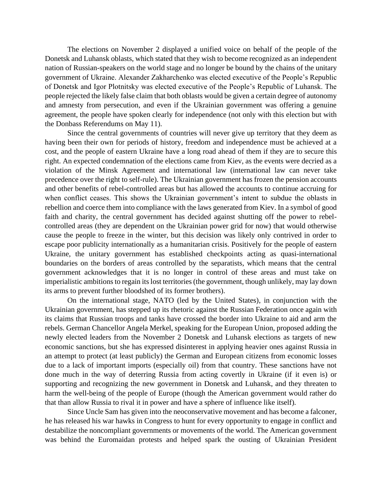The elections on November 2 displayed a unified voice on behalf of the people of the Donetsk and Luhansk oblasts, which stated that they wish to become recognized as an independent nation of Russian-speakers on the world stage and no longer be bound by the chains of the unitary government of Ukraine. Alexander Zakharchenko was elected executive of the People's Republic of Donetsk and Igor Plotnitsky was elected executive of the People's Republic of Luhansk. The people rejected the likely false claim that both oblasts would be given a certain degree of autonomy and amnesty from persecution, and even if the Ukrainian government was offering a genuine agreement, the people have spoken clearly for independence (not only with this election but with the Donbass Referendums on May 11).

Since the central governments of countries will never give up territory that they deem as having been their own for periods of history, freedom and independence must be achieved at a cost, and the people of eastern Ukraine have a long road ahead of them if they are to secure this right. An expected condemnation of the elections came from Kiev, as the events were decried as a violation of the Minsk Agreement and international law (international law can never take precedence over the right to self-rule). The Ukrainian government has frozen the pension accounts and other benefits of rebel-controlled areas but has allowed the accounts to continue accruing for when conflict ceases. This shows the Ukrainian government's intent to subdue the oblasts in rebellion and coerce them into compliance with the laws generated from Kiev. In a symbol of good faith and charity, the central government has decided against shutting off the power to rebelcontrolled areas (they are dependent on the Ukrainian power grid for now) that would otherwise cause the people to freeze in the winter, but this decision was likely only contrived in order to escape poor publicity internationally as a humanitarian crisis. Positively for the people of eastern Ukraine, the unitary government has established checkpoints acting as quasi-international boundaries on the borders of areas controlled by the separatists, which means that the central government acknowledges that it is no longer in control of these areas and must take on imperialistic ambitions to regain its lost territories (the government, though unlikely, may lay down its arms to prevent further bloodshed of its former brothers).

On the international stage, NATO (led by the United States), in conjunction with the Ukrainian government, has stepped up its rhetoric against the Russian Federation once again with its claims that Russian troops and tanks have crossed the border into Ukraine to aid and arm the rebels. German Chancellor Angela Merkel, speaking for the European Union, proposed adding the newly elected leaders from the November 2 Donetsk and Luhansk elections as targets of new economic sanctions, but she has expressed disinterest in applying heavier ones against Russia in an attempt to protect (at least publicly) the German and European citizens from economic losses due to a lack of important imports (especially oil) from that country. These sanctions have not done much in the way of deterring Russia from acting covertly in Ukraine (if it even is) or supporting and recognizing the new government in Donetsk and Luhansk, and they threaten to harm the well-being of the people of Europe (though the American government would rather do that than allow Russia to rival it in power and have a sphere of influence like itself).

Since Uncle Sam has given into the neoconservative movement and has become a falconer, he has released his war hawks in Congress to hunt for every opportunity to engage in conflict and destabilize the noncompliant governments or movements of the world. The American government was behind the Euromaidan protests and helped spark the ousting of Ukrainian President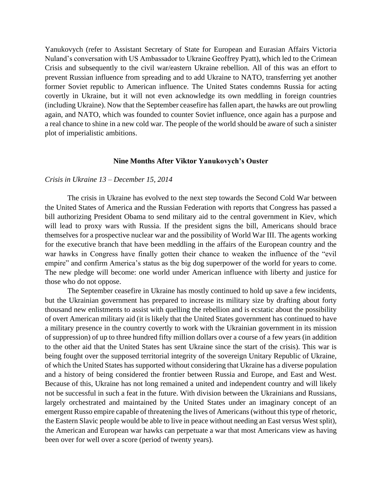Yanukovych (refer to Assistant Secretary of State for European and Eurasian Affairs Victoria Nuland's conversation with US Ambassador to Ukraine Geoffrey Pyatt), which led to the Crimean Crisis and subsequently to the civil war/eastern Ukraine rebellion. All of this was an effort to prevent Russian influence from spreading and to add Ukraine to NATO, transferring yet another former Soviet republic to American influence. The United States condemns Russia for acting covertly in Ukraine, but it will not even acknowledge its own meddling in foreign countries (including Ukraine). Now that the September ceasefire has fallen apart, the hawks are out prowling again, and NATO, which was founded to counter Soviet influence, once again has a purpose and a real chance to shine in a new cold war. The people of the world should be aware of such a sinister plot of imperialistic ambitions.

#### **Nine Months After Viktor Yanukovych's Ouster**

#### *Crisis in Ukraine 13 – December 15, 2014*

The crisis in Ukraine has evolved to the next step towards the Second Cold War between the United States of America and the Russian Federation with reports that Congress has passed a bill authorizing President Obama to send military aid to the central government in Kiev, which will lead to proxy wars with Russia. If the president signs the bill, Americans should brace themselves for a prospective nuclear war and the possibility of World War III. The agents working for the executive branch that have been meddling in the affairs of the European country and the war hawks in Congress have finally gotten their chance to weaken the influence of the "evil empire" and confirm America's status as the big dog superpower of the world for years to come. The new pledge will become: one world under American influence with liberty and justice for those who do not oppose.

The September ceasefire in Ukraine has mostly continued to hold up save a few incidents, but the Ukrainian government has prepared to increase its military size by drafting about forty thousand new enlistments to assist with quelling the rebellion and is ecstatic about the possibility of overt American military aid (it is likely that the United States government has continued to have a military presence in the country covertly to work with the Ukrainian government in its mission of suppression) of up to three hundred fifty million dollars over a course of a few years (in addition to the other aid that the United States has sent Ukraine since the start of the crisis). This war is being fought over the supposed territorial integrity of the sovereign Unitary Republic of Ukraine, of which the United States has supported without considering that Ukraine has a diverse population and a history of being considered the frontier between Russia and Europe, and East and West. Because of this, Ukraine has not long remained a united and independent country and will likely not be successful in such a feat in the future. With division between the Ukrainians and Russians, largely orchestrated and maintained by the United States under an imaginary concept of an emergent Russo empire capable of threatening the lives of Americans (without this type of rhetoric, the Eastern Slavic people would be able to live in peace without needing an East versus West split), the American and European war hawks can perpetuate a war that most Americans view as having been over for well over a score (period of twenty years).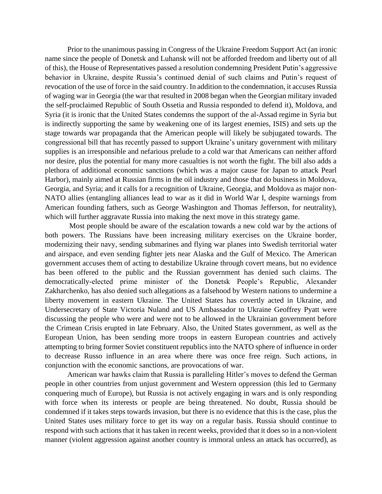Prior to the unanimous passing in Congress of the Ukraine Freedom Support Act (an ironic name since the people of Donetsk and Luhansk will not be afforded freedom and liberty out of all of this), the House of Representatives passed a resolution condemning President Putin's aggressive behavior in Ukraine, despite Russia's continued denial of such claims and Putin's request of revocation of the use of force in the said country. In addition to the condemnation, it accuses Russia of waging war in Georgia (the war that resulted in 2008 began when the Georgian military invaded the self-proclaimed Republic of South Ossetia and Russia responded to defend it), Moldova, and Syria (it is ironic that the United States condemns the support of the al-Assad regime in Syria but is indirectly supporting the same by weakening one of its largest enemies, ISIS) and sets up the stage towards war propaganda that the American people will likely be subjugated towards. The congressional bill that has recently passed to support Ukraine's unitary government with military supplies is an irresponsible and nefarious prelude to a cold war that Americans can neither afford nor desire, plus the potential for many more casualties is not worth the fight. The bill also adds a plethora of additional economic sanctions (which was a major cause for Japan to attack Pearl Harbor), mainly aimed at Russian firms in the oil industry and those that do business in Moldova, Georgia, and Syria; and it calls for a recognition of Ukraine, Georgia, and Moldova as major non-NATO allies (entangling alliances lead to war as it did in World War I, despite warnings from American founding fathers, such as George Washington and Thomas Jefferson, for neutrality), which will further aggravate Russia into making the next move in this strategy game.

Most people should be aware of the escalation towards a new cold war by the actions of both powers. The Russians have been increasing military exercises on the Ukraine border, modernizing their navy, sending submarines and flying war planes into Swedish territorial water and airspace, and even sending fighter jets near Alaska and the Gulf of Mexico. The American government accuses them of acting to destabilize Ukraine through covert means, but no evidence has been offered to the public and the Russian government has denied such claims. The democratically-elected prime minister of the Donetsk People's Republic, Alexander Zakharchenko, has also denied such allegations as a falsehood by Western nations to undermine a liberty movement in eastern Ukraine. The United States has covertly acted in Ukraine, and Undersecretary of State Victoria Nuland and US Ambassador to Ukraine Geoffrey Pyatt were discussing the people who were and were not to be allowed in the Ukrainian government before the Crimean Crisis erupted in late February. Also, the United States government, as well as the European Union, has been sending more troops in eastern European countries and actively attempting to bring former Soviet constituent republics into the NATO sphere of influence in order to decrease Russo influence in an area where there was once free reign. Such actions, in conjunction with the economic sanctions, are provocations of war.

American war hawks claim that Russia is paralleling Hitler's moves to defend the German people in other countries from unjust government and Western oppression (this led to Germany conquering much of Europe), but Russia is not actively engaging in wars and is only responding with force when its interests or people are being threatened. No doubt, Russia should be condemned if it takes steps towards invasion, but there is no evidence that this is the case, plus the United States uses military force to get its way on a regular basis. Russia should continue to respond with such actions that it has taken in recent weeks, provided that it does so in a non-violent manner (violent aggression against another country is immoral unless an attack has occurred), as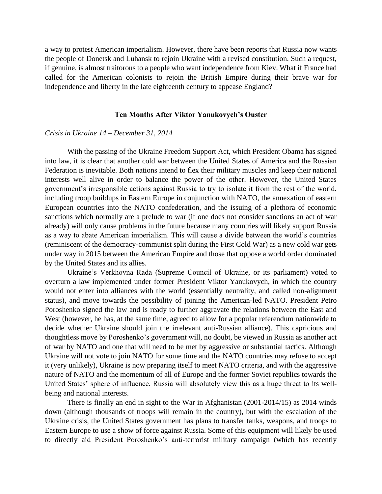a way to protest American imperialism. However, there have been reports that Russia now wants the people of Donetsk and Luhansk to rejoin Ukraine with a revised constitution. Such a request, if genuine, is almost traitorous to a people who want independence from Kiev. What if France had called for the American colonists to rejoin the British Empire during their brave war for independence and liberty in the late eighteenth century to appease England?

#### **Ten Months After Viktor Yanukovych's Ouster**

#### *Crisis in Ukraine 14 – December 31, 2014*

With the passing of the Ukraine Freedom Support Act, which President Obama has signed into law, it is clear that another cold war between the United States of America and the Russian Federation is inevitable. Both nations intend to flex their military muscles and keep their national interests well alive in order to balance the power of the other. However, the United States government's irresponsible actions against Russia to try to isolate it from the rest of the world, including troop buildups in Eastern Europe in conjunction with NATO, the annexation of eastern European countries into the NATO confederation, and the issuing of a plethora of economic sanctions which normally are a prelude to war (if one does not consider sanctions an act of war already) will only cause problems in the future because many countries will likely support Russia as a way to abate American imperialism. This will cause a divide between the world's countries (reminiscent of the democracy-communist split during the First Cold War) as a new cold war gets under way in 2015 between the American Empire and those that oppose a world order dominated by the United States and its allies.

Ukraine's Verkhovna Rada (Supreme Council of Ukraine, or its parliament) voted to overturn a law implemented under former President Viktor Yanukovych, in which the country would not enter into alliances with the world (essentially neutrality, and called non-alignment status), and move towards the possibility of joining the American-led NATO. President Petro Poroshenko signed the law and is ready to further aggravate the relations between the East and West (however, he has, at the same time, agreed to allow for a popular referendum nationwide to decide whether Ukraine should join the irrelevant anti-Russian alliance). This capricious and thoughtless move by Poroshenko's government will, no doubt, be viewed in Russia as another act of war by NATO and one that will need to be met by aggressive or substantial tactics. Although Ukraine will not vote to join NATO for some time and the NATO countries may refuse to accept it (very unlikely), Ukraine is now preparing itself to meet NATO criteria, and with the aggressive nature of NATO and the momentum of all of Europe and the former Soviet republics towards the United States' sphere of influence, Russia will absolutely view this as a huge threat to its wellbeing and national interests.

There is finally an end in sight to the War in Afghanistan (2001-2014/15) as 2014 winds down (although thousands of troops will remain in the country), but with the escalation of the Ukraine crisis, the United States government has plans to transfer tanks, weapons, and troops to Eastern Europe to use a show of force against Russia. Some of this equipment will likely be used to directly aid President Poroshenko's anti-terrorist military campaign (which has recently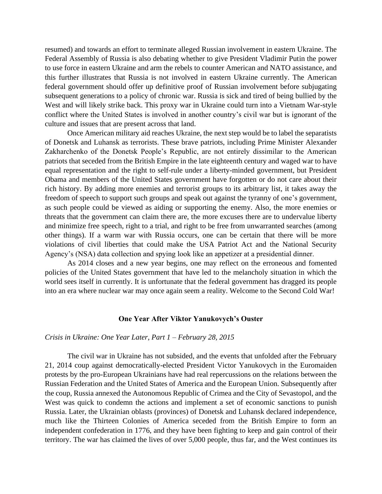resumed) and towards an effort to terminate alleged Russian involvement in eastern Ukraine. The Federal Assembly of Russia is also debating whether to give President Vladimir Putin the power to use force in eastern Ukraine and arm the rebels to counter American and NATO assistance, and this further illustrates that Russia is not involved in eastern Ukraine currently. The American federal government should offer up definitive proof of Russian involvement before subjugating subsequent generations to a policy of chronic war. Russia is sick and tired of being bullied by the West and will likely strike back. This proxy war in Ukraine could turn into a Vietnam War-style conflict where the United States is involved in another country's civil war but is ignorant of the culture and issues that are present across that land.

Once American military aid reaches Ukraine, the next step would be to label the separatists of Donetsk and Luhansk as terrorists. These brave patriots, including Prime Minister Alexander Zakharchenko of the Donetsk People's Republic, are not entirely dissimilar to the American patriots that seceded from the British Empire in the late eighteenth century and waged war to have equal representation and the right to self-rule under a liberty-minded government, but President Obama and members of the United States government have forgotten or do not care about their rich history. By adding more enemies and terrorist groups to its arbitrary list, it takes away the freedom of speech to support such groups and speak out against the tyranny of one's government, as such people could be viewed as aiding or supporting the enemy. Also, the more enemies or threats that the government can claim there are, the more excuses there are to undervalue liberty and minimize free speech, right to a trial, and right to be free from unwarranted searches (among other things). If a warm war with Russia occurs, one can be certain that there will be more violations of civil liberties that could make the USA Patriot Act and the National Security Agency's (NSA) data collection and spying look like an appetizer at a presidential dinner.

As 2014 closes and a new year begins, one may reflect on the erroneous and fomented policies of the United States government that have led to the melancholy situation in which the world sees itself in currently. It is unfortunate that the federal government has dragged its people into an era where nuclear war may once again seem a reality. Welcome to the Second Cold War!

#### **One Year After Viktor Yanukovych's Ouster**

#### *Crisis in Ukraine: One Year Later, Part 1 – February 28, 2015*

The civil war in Ukraine has not subsided, and the events that unfolded after the February 21, 2014 coup against democratically-elected President Victor Yanukovych in the Euromaiden protests by the pro-European Ukrainians have had real repercussions on the relations between the Russian Federation and the United States of America and the European Union. Subsequently after the coup, Russia annexed the Autonomous Republic of Crimea and the City of Sevastopol, and the West was quick to condemn the actions and implement a set of economic sanctions to punish Russia. Later, the Ukrainian oblasts (provinces) of Donetsk and Luhansk declared independence, much like the Thirteen Colonies of America seceded from the British Empire to form an independent confederation in 1776, and they have been fighting to keep and gain control of their territory. The war has claimed the lives of over 5,000 people, thus far, and the West continues its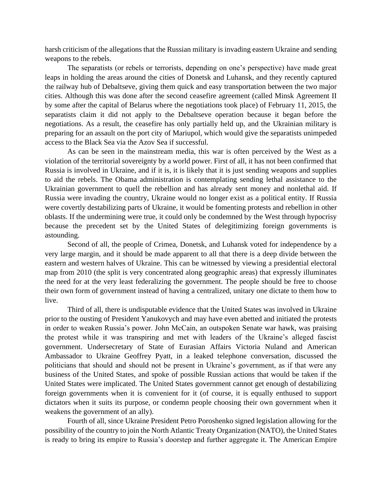harsh criticism of the allegations that the Russian military is invading eastern Ukraine and sending weapons to the rebels.

The separatists (or rebels or terrorists, depending on one's perspective) have made great leaps in holding the areas around the cities of Donetsk and Luhansk, and they recently captured the railway hub of Debaltseve, giving them quick and easy transportation between the two major cities. Although this was done after the second ceasefire agreement (called Minsk Agreement II by some after the capital of Belarus where the negotiations took place) of February 11, 2015, the separatists claim it did not apply to the Debaltseve operation because it began before the negotiations. As a result, the ceasefire has only partially held up, and the Ukrainian military is preparing for an assault on the port city of Mariupol, which would give the separatists unimpeded access to the Black Sea via the Azov Sea if successful.

As can be seen in the mainstream media, this war is often perceived by the West as a violation of the territorial sovereignty by a world power. First of all, it has not been confirmed that Russia is involved in Ukraine, and if it is, it is likely that it is just sending weapons and supplies to aid the rebels. The Obama administration is contemplating sending lethal assistance to the Ukrainian government to quell the rebellion and has already sent money and nonlethal aid. If Russia were invading the country, Ukraine would no longer exist as a political entity. If Russia were covertly destabilizing parts of Ukraine, it would be fomenting protests and rebellion in other oblasts. If the undermining were true, it could only be condemned by the West through hypocrisy because the precedent set by the United States of delegitimizing foreign governments is astounding.

Second of all, the people of Crimea, Donetsk, and Luhansk voted for independence by a very large margin, and it should be made apparent to all that there is a deep divide between the eastern and western halves of Ukraine. This can be witnessed by viewing a presidential electoral map from 2010 (the split is very concentrated along geographic areas) that expressly illuminates the need for at the very least federalizing the government. The people should be free to choose their own form of government instead of having a centralized, unitary one dictate to them how to live.

Third of all, there is undisputable evidence that the United States was involved in Ukraine prior to the ousting of President Yanukovych and may have even abetted and initiated the protests in order to weaken Russia's power. John McCain, an outspoken Senate war hawk, was praising the protest while it was transpiring and met with leaders of the Ukraine's alleged fascist government. Undersecretary of State of Eurasian Affairs Victoria Nuland and American Ambassador to Ukraine Geoffrey Pyatt, in a leaked telephone conversation, discussed the politicians that should and should not be present in Ukraine's government, as if that were any business of the United States, and spoke of possible Russian actions that would be taken if the United States were implicated. The United States government cannot get enough of destabilizing foreign governments when it is convenient for it (of course, it is equally enthused to support dictators when it suits its purpose, or condemn people choosing their own government when it weakens the government of an ally).

Fourth of all, since Ukraine President Petro Poroshenko signed legislation allowing for the possibility of the country to join the North Atlantic Treaty Organization (NATO), the United States is ready to bring its empire to Russia's doorstep and further aggregate it. The American Empire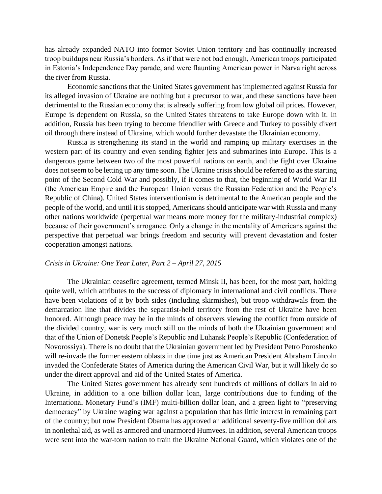has already expanded NATO into former Soviet Union territory and has continually increased troop buildups near Russia's borders. As if that were not bad enough, American troops participated in Estonia's Independence Day parade, and were flaunting American power in Narva right across the river from Russia.

Economic sanctions that the United States government has implemented against Russia for its alleged invasion of Ukraine are nothing but a precursor to war, and these sanctions have been detrimental to the Russian economy that is already suffering from low global oil prices. However, Europe is dependent on Russia, so the United States threatens to take Europe down with it. In addition, Russia has been trying to become friendlier with Greece and Turkey to possibly divert oil through there instead of Ukraine, which would further devastate the Ukrainian economy.

Russia is strengthening its stand in the world and ramping up military exercises in the western part of its country and even sending fighter jets and submarines into Europe. This is a dangerous game between two of the most powerful nations on earth, and the fight over Ukraine does not seem to be letting up any time soon. The Ukraine crisis should be referred to as the starting point of the Second Cold War and possibly, if it comes to that, the beginning of World War III (the American Empire and the European Union versus the Russian Federation and the People's Republic of China). United States interventionism is detrimental to the American people and the people of the world, and until it is stopped, Americans should anticipate war with Russia and many other nations worldwide (perpetual war means more money for the military-industrial complex) because of their government's arrogance. Only a change in the mentality of Americans against the perspective that perpetual war brings freedom and security will prevent devastation and foster cooperation amongst nations.

#### *Crisis in Ukraine: One Year Later, Part 2 – April 27, 2015*

The Ukrainian ceasefire agreement, termed Minsk II, has been, for the most part, holding quite well, which attributes to the success of diplomacy in international and civil conflicts. There have been violations of it by both sides (including skirmishes), but troop withdrawals from the demarcation line that divides the separatist-held territory from the rest of Ukraine have been honored. Although peace may be in the minds of observers viewing the conflict from outside of the divided country, war is very much still on the minds of both the Ukrainian government and that of the Union of Donetsk People's Republic and Luhansk People's Republic (Confederation of Novorossiya). There is no doubt that the Ukrainian government led by President Petro Poroshenko will re-invade the former eastern oblasts in due time just as American President Abraham Lincoln invaded the Confederate States of America during the American Civil War, but it will likely do so under the direct approval and aid of the United States of America.

The United States government has already sent hundreds of millions of dollars in aid to Ukraine, in addition to a one billion dollar loan, large contributions due to funding of the International Monetary Fund's (IMF) multi-billion dollar loan, and a green light to "preserving democracy" by Ukraine waging war against a population that has little interest in remaining part of the country; but now President Obama has approved an additional seventy-five million dollars in nonlethal aid, as well as armored and unarmored Humvees. In addition, several American troops were sent into the war-torn nation to train the Ukraine National Guard, which violates one of the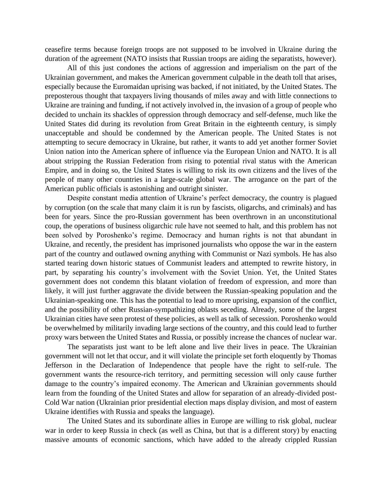ceasefire terms because foreign troops are not supposed to be involved in Ukraine during the duration of the agreement (NATO insists that Russian troops are aiding the separatists, however).

All of this just condones the actions of aggression and imperialism on the part of the Ukrainian government, and makes the American government culpable in the death toll that arises, especially because the Euromaidan uprising was backed, if not initiated, by the United States. The preposterous thought that taxpayers living thousands of miles away and with little connections to Ukraine are training and funding, if not actively involved in, the invasion of a group of people who decided to unchain its shackles of oppression through democracy and self-defense, much like the United States did during its revolution from Great Britain in the eighteenth century, is simply unacceptable and should be condemned by the American people. The United States is not attempting to secure democracy in Ukraine, but rather, it wants to add yet another former Soviet Union nation into the American sphere of influence via the European Union and NATO. It is all about stripping the Russian Federation from rising to potential rival status with the American Empire, and in doing so, the United States is willing to risk its own citizens and the lives of the people of many other countries in a large-scale global war. The arrogance on the part of the American public officials is astonishing and outright sinister.

Despite constant media attention of Ukraine's perfect democracy, the country is plagued by corruption (on the scale that many claim it is run by fascists, oligarchs, and criminals) and has been for years. Since the pro-Russian government has been overthrown in an unconstitutional coup, the operations of business oligarchic rule have not seemed to halt, and this problem has not been solved by Poroshenko's regime. Democracy and human rights is not that abundant in Ukraine, and recently, the president has imprisoned journalists who oppose the war in the eastern part of the country and outlawed owning anything with Communist or Nazi symbols. He has also started tearing down historic statues of Communist leaders and attempted to rewrite history, in part, by separating his country's involvement with the Soviet Union. Yet, the United States government does not condemn this blatant violation of freedom of expression, and more than likely, it will just further aggravate the divide between the Russian-speaking population and the Ukrainian-speaking one. This has the potential to lead to more uprising, expansion of the conflict, and the possibility of other Russian-sympathizing oblasts seceding. Already, some of the largest Ukrainian cities have seen protest of these policies, as well as talk of secession. Poroshenko would be overwhelmed by militarily invading large sections of the country, and this could lead to further proxy wars between the United States and Russia, or possibly increase the chances of nuclear war.

The separatists just want to be left alone and live their lives in peace. The Ukrainian government will not let that occur, and it will violate the principle set forth eloquently by Thomas Jefferson in the Declaration of Independence that people have the right to self-rule. The government wants the resource-rich territory, and permitting secession will only cause further damage to the country's impaired economy. The American and Ukrainian governments should learn from the founding of the United States and allow for separation of an already-divided post-Cold War nation (Ukrainian prior presidential election maps display division, and most of eastern Ukraine identifies with Russia and speaks the language).

The United States and its subordinate allies in Europe are willing to risk global, nuclear war in order to keep Russia in check (as well as China, but that is a different story) by enacting massive amounts of economic sanctions, which have added to the already crippled Russian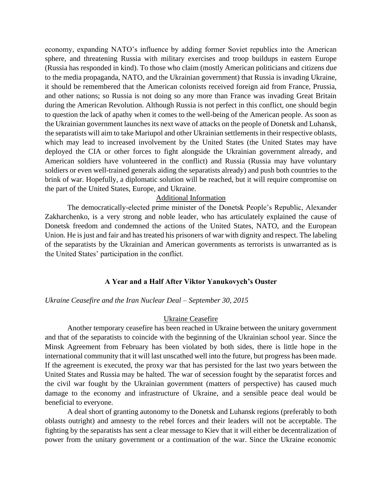economy, expanding NATO's influence by adding former Soviet republics into the American sphere, and threatening Russia with military exercises and troop buildups in eastern Europe (Russia has responded in kind). To those who claim (mostly American politicians and citizens due to the media propaganda, NATO, and the Ukrainian government) that Russia is invading Ukraine, it should be remembered that the American colonists received foreign aid from France, Prussia, and other nations; so Russia is not doing so any more than France was invading Great Britain during the American Revolution. Although Russia is not perfect in this conflict, one should begin to question the lack of apathy when it comes to the well-being of the American people. As soon as the Ukrainian government launches its next wave of attacks on the people of Donetsk and Luhansk, the separatists will aim to take Mariupol and other Ukrainian settlements in their respective oblasts, which may lead to increased involvement by the United States (the United States may have deployed the CIA or other forces to fight alongside the Ukrainian government already, and American soldiers have volunteered in the conflict) and Russia (Russia may have voluntary soldiers or even well-trained generals aiding the separatists already) and push both countries to the brink of war. Hopefully, a diplomatic solution will be reached, but it will require compromise on the part of the United States, Europe, and Ukraine.

#### Additional Information

The democratically-elected prime minister of the Donetsk People's Republic, Alexander Zakharchenko, is a very strong and noble leader, who has articulately explained the cause of Donetsk freedom and condemned the actions of the United States, NATO, and the European Union. He is just and fair and has treated his prisoners of war with dignity and respect. The labeling of the separatists by the Ukrainian and American governments as terrorists is unwarranted as is the United States' participation in the conflict.

#### **A Year and a Half After Viktor Yanukovych's Ouster**

#### *Ukraine Ceasefire and the Iran Nuclear Deal – September 30, 2015*

#### Ukraine Ceasefire

Another temporary ceasefire has been reached in Ukraine between the unitary government and that of the separatists to coincide with the beginning of the Ukrainian school year. Since the Minsk Agreement from February has been violated by both sides, there is little hope in the international community that it will last unscathed well into the future, but progress has been made. If the agreement is executed, the proxy war that has persisted for the last two years between the United States and Russia may be halted. The war of secession fought by the separatist forces and the civil war fought by the Ukrainian government (matters of perspective) has caused much damage to the economy and infrastructure of Ukraine, and a sensible peace deal would be beneficial to everyone.

A deal short of granting autonomy to the Donetsk and Luhansk regions (preferably to both oblasts outright) and amnesty to the rebel forces and their leaders will not be acceptable. The fighting by the separatists has sent a clear message to Kiev that it will either be decentralization of power from the unitary government or a continuation of the war. Since the Ukraine economic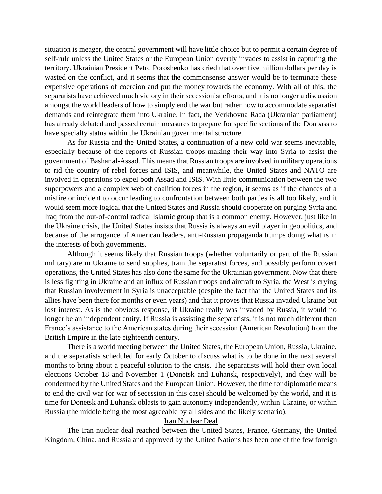situation is meager, the central government will have little choice but to permit a certain degree of self-rule unless the United States or the European Union overtly invades to assist in capturing the territory. Ukrainian President Petro Poroshenko has cried that over five million dollars per day is wasted on the conflict, and it seems that the commonsense answer would be to terminate these expensive operations of coercion and put the money towards the economy. With all of this, the separatists have achieved much victory in their secessionist efforts, and it is no longer a discussion amongst the world leaders of how to simply end the war but rather how to accommodate separatist demands and reintegrate them into Ukraine. In fact, the Verkhovna Rada (Ukrainian parliament) has already debated and passed certain measures to prepare for specific sections of the Donbass to have specialty status within the Ukrainian governmental structure.

As for Russia and the United States, a continuation of a new cold war seems inevitable, especially because of the reports of Russian troops making their way into Syria to assist the government of Bashar al-Assad. This means that Russian troops are involved in military operations to rid the country of rebel forces and ISIS, and meanwhile, the United States and NATO are involved in operations to expel both Assad and ISIS. With little communication between the two superpowers and a complex web of coalition forces in the region, it seems as if the chances of a misfire or incident to occur leading to confrontation between both parties is all too likely, and it would seem more logical that the United States and Russia should cooperate on purging Syria and Iraq from the out-of-control radical Islamic group that is a common enemy. However, just like in the Ukraine crisis, the United States insists that Russia is always an evil player in geopolitics, and because of the arrogance of American leaders, anti-Russian propaganda trumps doing what is in the interests of both governments.

Although it seems likely that Russian troops (whether voluntarily or part of the Russian military) are in Ukraine to send supplies, train the separatist forces, and possibly perform covert operations, the United States has also done the same for the Ukrainian government. Now that there is less fighting in Ukraine and an influx of Russian troops and aircraft to Syria, the West is crying that Russian involvement in Syria is unacceptable (despite the fact that the United States and its allies have been there for months or even years) and that it proves that Russia invaded Ukraine but lost interest. As is the obvious response, if Ukraine really was invaded by Russia, it would no longer be an independent entity. If Russia is assisting the separatists, it is not much different than France's assistance to the American states during their secession (American Revolution) from the British Empire in the late eighteenth century.

There is a world meeting between the United States, the European Union, Russia, Ukraine, and the separatists scheduled for early October to discuss what is to be done in the next several months to bring about a peaceful solution to the crisis. The separatists will hold their own local elections October 18 and November 1 (Donetsk and Luhansk, respectively), and they will be condemned by the United States and the European Union. However, the time for diplomatic means to end the civil war (or war of secession in this case) should be welcomed by the world, and it is time for Donetsk and Luhansk oblasts to gain autonomy independently, within Ukraine, or within Russia (the middle being the most agreeable by all sides and the likely scenario).

#### Iran Nuclear Deal

The Iran nuclear deal reached between the United States, France, Germany, the United Kingdom, China, and Russia and approved by the United Nations has been one of the few foreign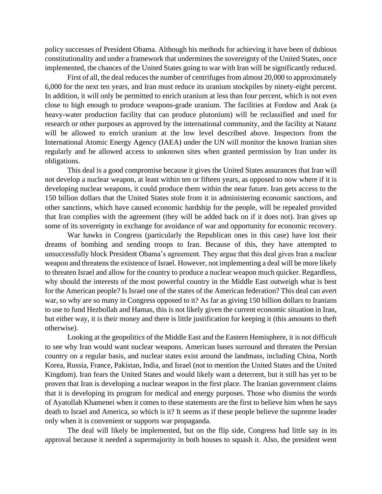policy successes of President Obama. Although his methods for achieving it have been of dubious constitutionality and under a framework that undermines the sovereignty of the United States, once implemented, the chances of the United States going to war with Iran will be significantly reduced.

First of all, the deal reduces the number of centrifuges from almost 20,000 to approximately 6,000 for the next ten years, and Iran must reduce its uranium stockpiles by ninety-eight percent. In addition, it will only be permitted to enrich uranium at less than four percent, which is not even close to high enough to produce weapons-grade uranium. The facilities at Fordow and Arak (a heavy-water production facility that can produce plutonium) will be reclassified and used for research or other purposes as approved by the international community, and the facility at Natanz will be allowed to enrich uranium at the low level described above. Inspectors from the International Atomic Energy Agency (IAEA) under the UN will monitor the known Iranian sites regularly and be allowed access to unknown sites when granted permission by Iran under its obligations.

This deal is a good compromise because it gives the United States assurances that Iran will not develop a nuclear weapon, at least within ten or fifteen years, as opposed to now where if it is developing nuclear weapons, it could produce them within the near future. Iran gets access to the 150 billion dollars that the United States stole from it in administering economic sanctions, and other sanctions, which have caused economic hardship for the people, will be repealed provided that Iran complies with the agreement (they will be added back on if it does not). Iran gives up some of its sovereignty in exchange for avoidance of war and opportunity for economic recovery.

War hawks in Congress (particularly the Republican ones in this case) have lost their dreams of bombing and sending troops to Iran. Because of this, they have attempted to unsuccessfully block President Obama's agreement. They argue that this deal gives Iran a nuclear weapon and threatens the existence of Israel. However, not implementing a deal will be more likely to threaten Israel and allow for the country to produce a nuclear weapon much quicker. Regardless, why should the interests of the most powerful country in the Middle East outweigh what is best for the American people? Is Israel one of the states of the American federation? This deal can avert war, so why are so many in Congress opposed to it? As far as giving 150 billion dollars to Iranians to use to fund Hezbollah and Hamas, this is not likely given the current economic situation in Iran, but either way, it is their money and there is little justification for keeping it (this amounts to theft otherwise).

Looking at the geopolitics of the Middle East and the Eastern Hemisphere, it is not difficult to see why Iran would want nuclear weapons. American bases surround and threaten the Persian country on a regular basis, and nuclear states exist around the landmass, including China, North Korea, Russia, France, Pakistan, India, and Israel (not to mention the United States and the United Kingdom). Iran fears the United States and would likely want a deterrent, but it still has yet to be proven that Iran is developing a nuclear weapon in the first place. The Iranian government claims that it is developing its program for medical and energy purposes. Those who dismiss the words of Ayatollah Khamenei when it comes to these statements are the first to believe him when he says death to Israel and America, so which is it? It seems as if these people believe the supreme leader only when it is convenient or supports war propaganda.

The deal will likely be implemented, but on the flip side, Congress had little say in its approval because it needed a supermajority in both houses to squash it. Also, the president went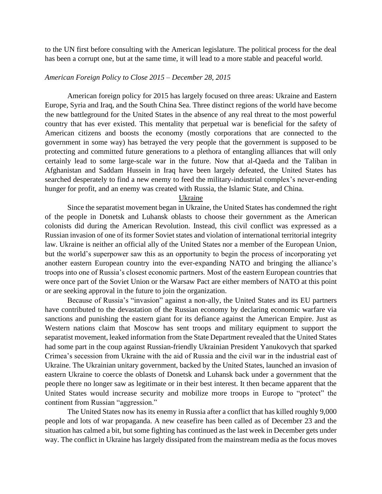to the UN first before consulting with the American legislature. The political process for the deal has been a corrupt one, but at the same time, it will lead to a more stable and peaceful world.

#### *American Foreign Policy to Close 2015 – December 28, 2015*

American foreign policy for 2015 has largely focused on three areas: Ukraine and Eastern Europe, Syria and Iraq, and the South China Sea. Three distinct regions of the world have become the new battleground for the United States in the absence of any real threat to the most powerful country that has ever existed. This mentality that perpetual war is beneficial for the safety of American citizens and boosts the economy (mostly corporations that are connected to the government in some way) has betrayed the very people that the government is supposed to be protecting and committed future generations to a plethora of entangling alliances that will only certainly lead to some large-scale war in the future. Now that al-Qaeda and the Taliban in Afghanistan and Saddam Hussein in Iraq have been largely defeated, the United States has searched desperately to find a new enemy to feed the military-industrial complex's never-ending hunger for profit, and an enemy was created with Russia, the Islamic State, and China.

#### Ukraine

Since the separatist movement began in Ukraine, the United States has condemned the right of the people in Donetsk and Luhansk oblasts to choose their government as the American colonists did during the American Revolution. Instead, this civil conflict was expressed as a Russian invasion of one of its former Soviet states and violation of international territorial integrity law. Ukraine is neither an official ally of the United States nor a member of the European Union, but the world's superpower saw this as an opportunity to begin the process of incorporating yet another eastern European country into the ever-expanding NATO and bringing the alliance's troops into one of Russia's closest economic partners. Most of the eastern European countries that were once part of the Soviet Union or the Warsaw Pact are either members of NATO at this point or are seeking approval in the future to join the organization.

Because of Russia's "invasion" against a non-ally, the United States and its EU partners have contributed to the devastation of the Russian economy by declaring economic warfare via sanctions and punishing the eastern giant for its defiance against the American Empire. Just as Western nations claim that Moscow has sent troops and military equipment to support the separatist movement, leaked information from the State Department revealed that the United States had some part in the coup against Russian-friendly Ukrainian President Yanukovych that sparked Crimea's secession from Ukraine with the aid of Russia and the civil war in the industrial east of Ukraine. The Ukrainian unitary government, backed by the United States, launched an invasion of eastern Ukraine to coerce the oblasts of Donetsk and Luhansk back under a government that the people there no longer saw as legitimate or in their best interest. It then became apparent that the United States would increase security and mobilize more troops in Europe to "protect" the continent from Russian "aggression."

The United States now has its enemy in Russia after a conflict that has killed roughly 9,000 people and lots of war propaganda. A new ceasefire has been called as of December 23 and the situation has calmed a bit, but some fighting has continued as the last week in December gets under way. The conflict in Ukraine has largely dissipated from the mainstream media as the focus moves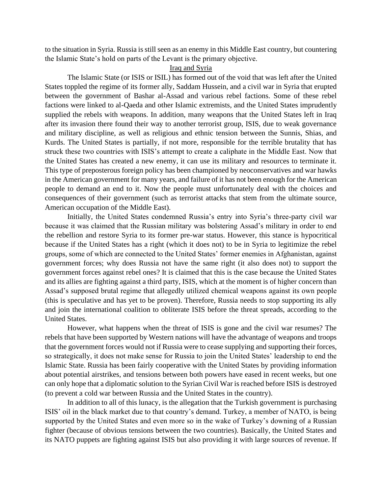to the situation in Syria. Russia is still seen as an enemy in this Middle East country, but countering the Islamic State's hold on parts of the Levant is the primary objective.

#### Iraq and Syria

The Islamic State (or ISIS or ISIL) has formed out of the void that was left after the United States toppled the regime of its former ally, Saddam Hussein, and a civil war in Syria that erupted between the government of Bashar al-Assad and various rebel factions. Some of these rebel factions were linked to al-Qaeda and other Islamic extremists, and the United States imprudently supplied the rebels with weapons. In addition, many weapons that the United States left in Iraq after its invasion there found their way to another terrorist group, ISIS, due to weak governance and military discipline, as well as religious and ethnic tension between the Sunnis, Shias, and Kurds. The United States is partially, if not more, responsible for the terrible brutality that has struck these two countries with ISIS's attempt to create a caliphate in the Middle East. Now that the United States has created a new enemy, it can use its military and resources to terminate it. This type of preposterous foreign policy has been championed by neoconservatives and war hawks in the American government for many years, and failure of it has not been enough for the American people to demand an end to it. Now the people must unfortunately deal with the choices and consequences of their government (such as terrorist attacks that stem from the ultimate source, American occupation of the Middle East).

Initially, the United States condemned Russia's entry into Syria's three-party civil war because it was claimed that the Russian military was bolstering Assad's military in order to end the rebellion and restore Syria to its former pre-war status. However, this stance is hypocritical because if the United States has a right (which it does not) to be in Syria to legitimize the rebel groups, some of which are connected to the United States' former enemies in Afghanistan, against government forces; why does Russia not have the same right (it also does not) to support the government forces against rebel ones? It is claimed that this is the case because the United States and its allies are fighting against a third party, ISIS, which at the moment is of higher concern than Assad's supposed brutal regime that allegedly utilized chemical weapons against its own people (this is speculative and has yet to be proven). Therefore, Russia needs to stop supporting its ally and join the international coalition to obliterate ISIS before the threat spreads, according to the United States.

However, what happens when the threat of ISIS is gone and the civil war resumes? The rebels that have been supported by Western nations will have the advantage of weapons and troops that the government forces would not if Russia were to cease supplying and supporting their forces, so strategically, it does not make sense for Russia to join the United States' leadership to end the Islamic State. Russia has been fairly cooperative with the United States by providing information about potential airstrikes, and tensions between both powers have eased in recent weeks, but one can only hope that a diplomatic solution to the Syrian Civil War is reached before ISIS is destroyed (to prevent a cold war between Russia and the United States in the country).

In addition to all of this lunacy, is the allegation that the Turkish government is purchasing ISIS' oil in the black market due to that country's demand. Turkey, a member of NATO, is being supported by the United States and even more so in the wake of Turkey's downing of a Russian fighter (because of obvious tensions between the two countries). Basically, the United States and its NATO puppets are fighting against ISIS but also providing it with large sources of revenue. If